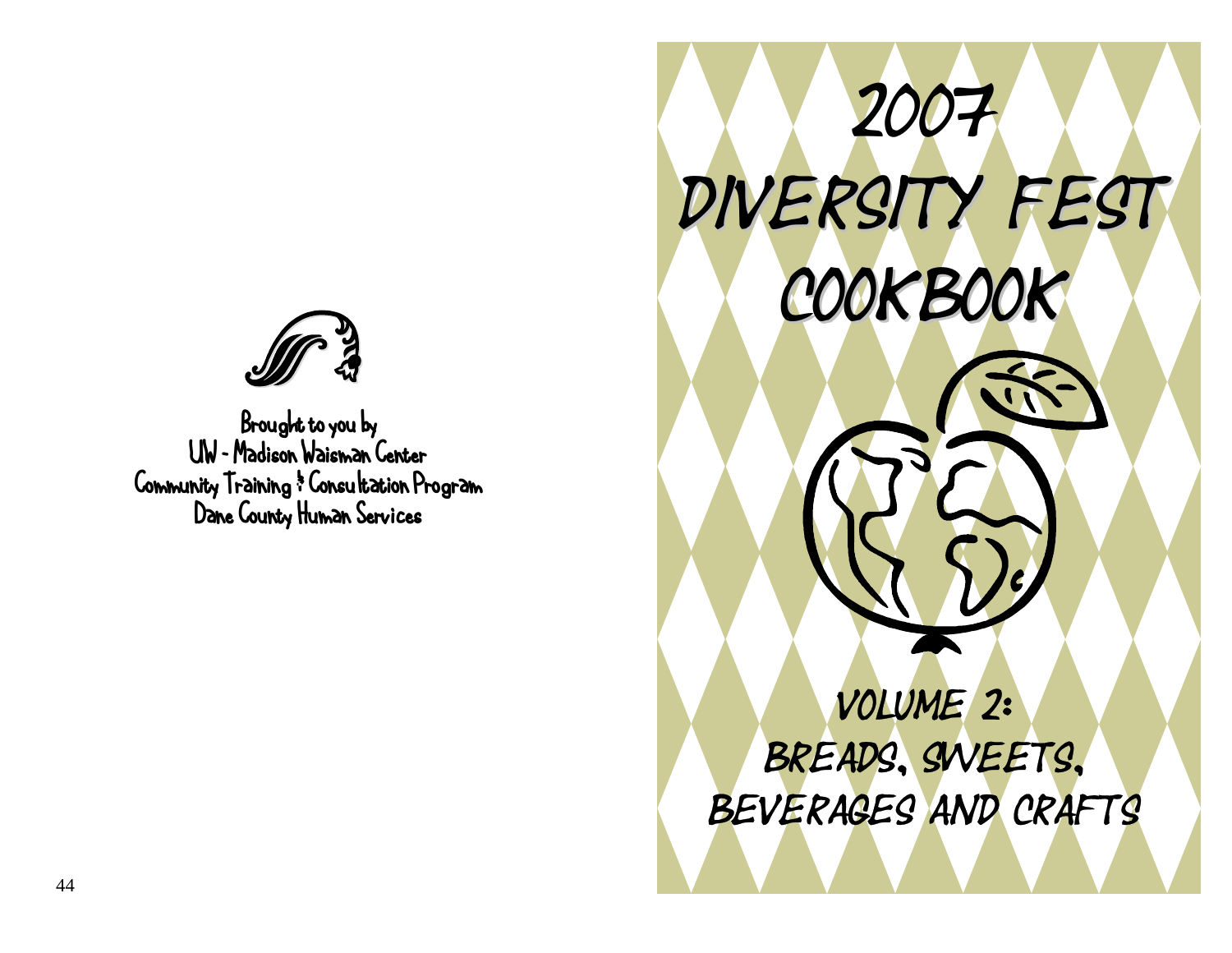

Brought to you by UW – Madison Waisman Center Community Training & Consultation Program Dane County Human Services

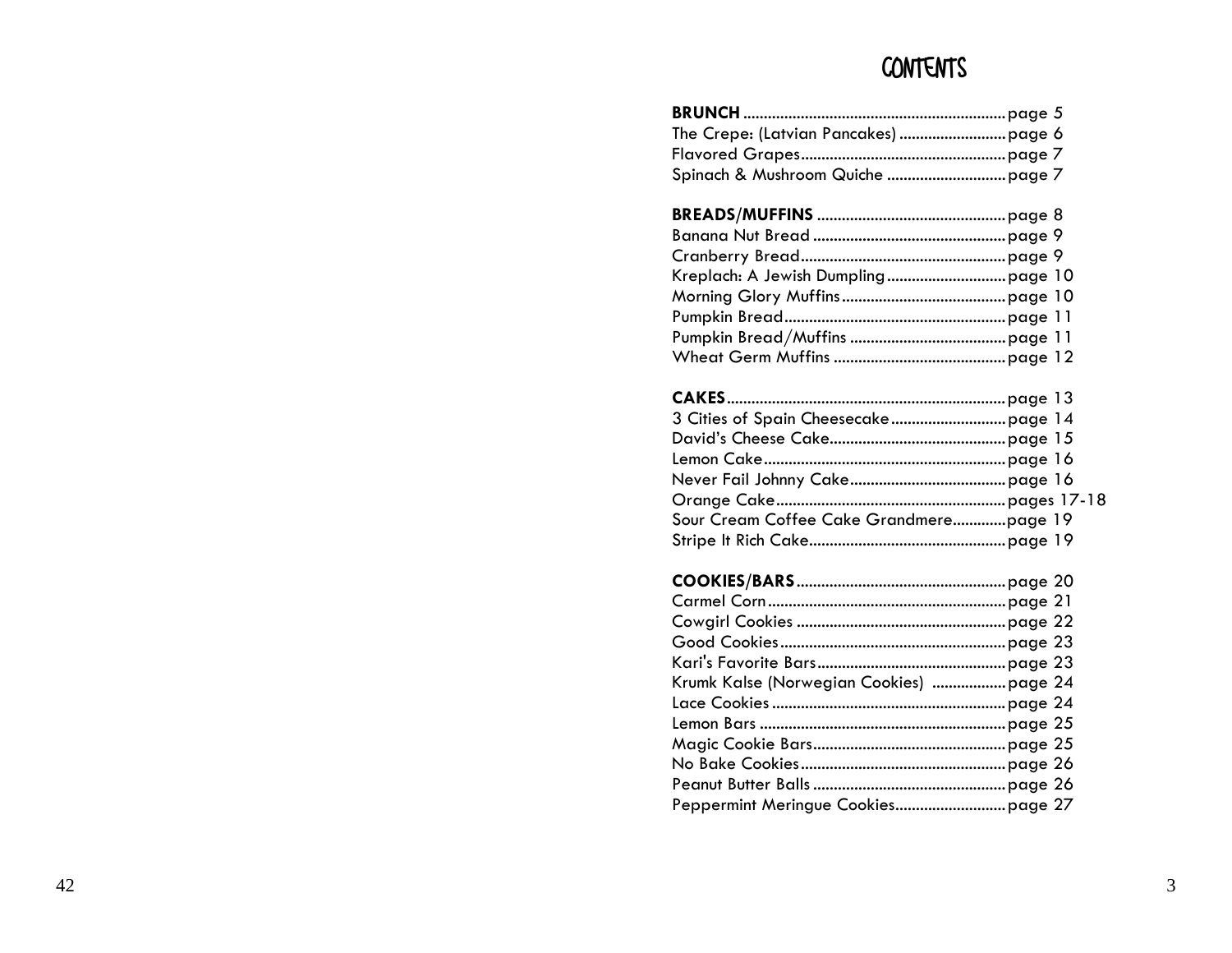### CONTENTS

| <b>CAKES</b>                            |
|-----------------------------------------|
|                                         |
|                                         |
|                                         |
|                                         |
|                                         |
| Sour Cream Coffee Cake Grandmerepage 19 |
|                                         |
|                                         |
|                                         |
|                                         |
|                                         |
|                                         |
|                                         |
| Krumk Kalse (Norwegian Cookies) page 24 |
|                                         |
|                                         |
|                                         |
|                                         |
|                                         |
|                                         |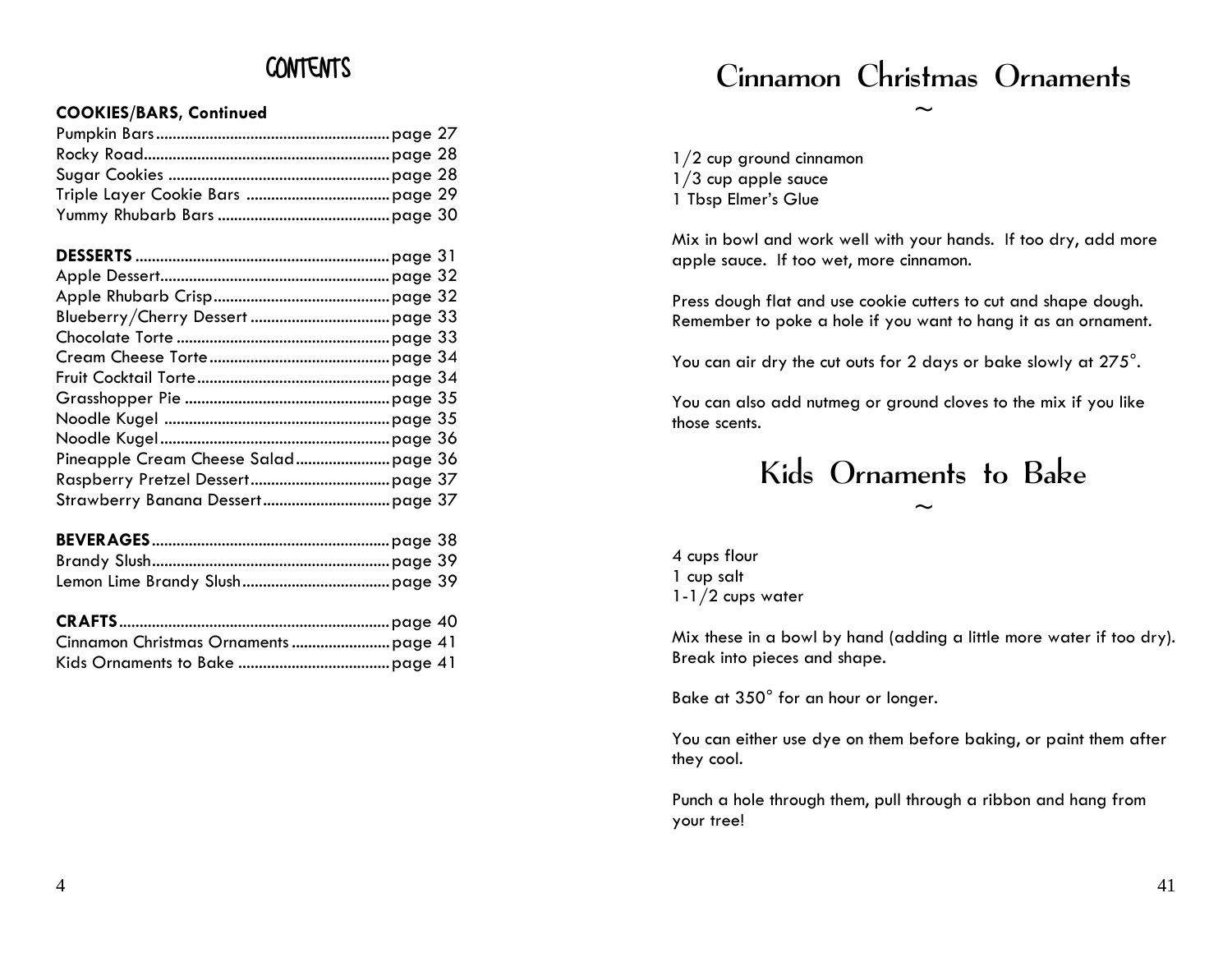#### **COOKIES/BARS, Continued** ~

|  | $1/2$ cup ground cinnamon |
|--|---------------------------|
|  | $1/3$ cup apple sauce     |
|  | 1 Tbsp Elmer's Glue       |
|  |                           |

|  | 4 cups flour       |
|--|--------------------|
|  | 1 cup salt         |
|  | $1-1/2$ cups water |

### Cinnamon Christmas Ornaments

Mix in bowl and work well with your hands. If too dry, add more apple sauce. If too wet, more cinnamon.<br>2

2<br>Press dough flat and use cookie cutters to cut and shape dough.<br>3<br>3

 $\frac{4}{4}$  You can air dry the cut outs for 2 days or bake slowly at 275°.

Grasshopper Pie ..................................................page 35 You can also add nutmeg or ground cloves to the mix if you like those scents.

# $\frac{1}{2}$  Kids Ornaments to Bake

Mix these in a bowl by hand (adding a little more water if too dry). Break into pieces and shape.

Bake at 350° for an hour or longer.

You can either use dye on them before baking, or paint them after they cool.

Punch a hole through them, pull through a ribbon and hang from your tree!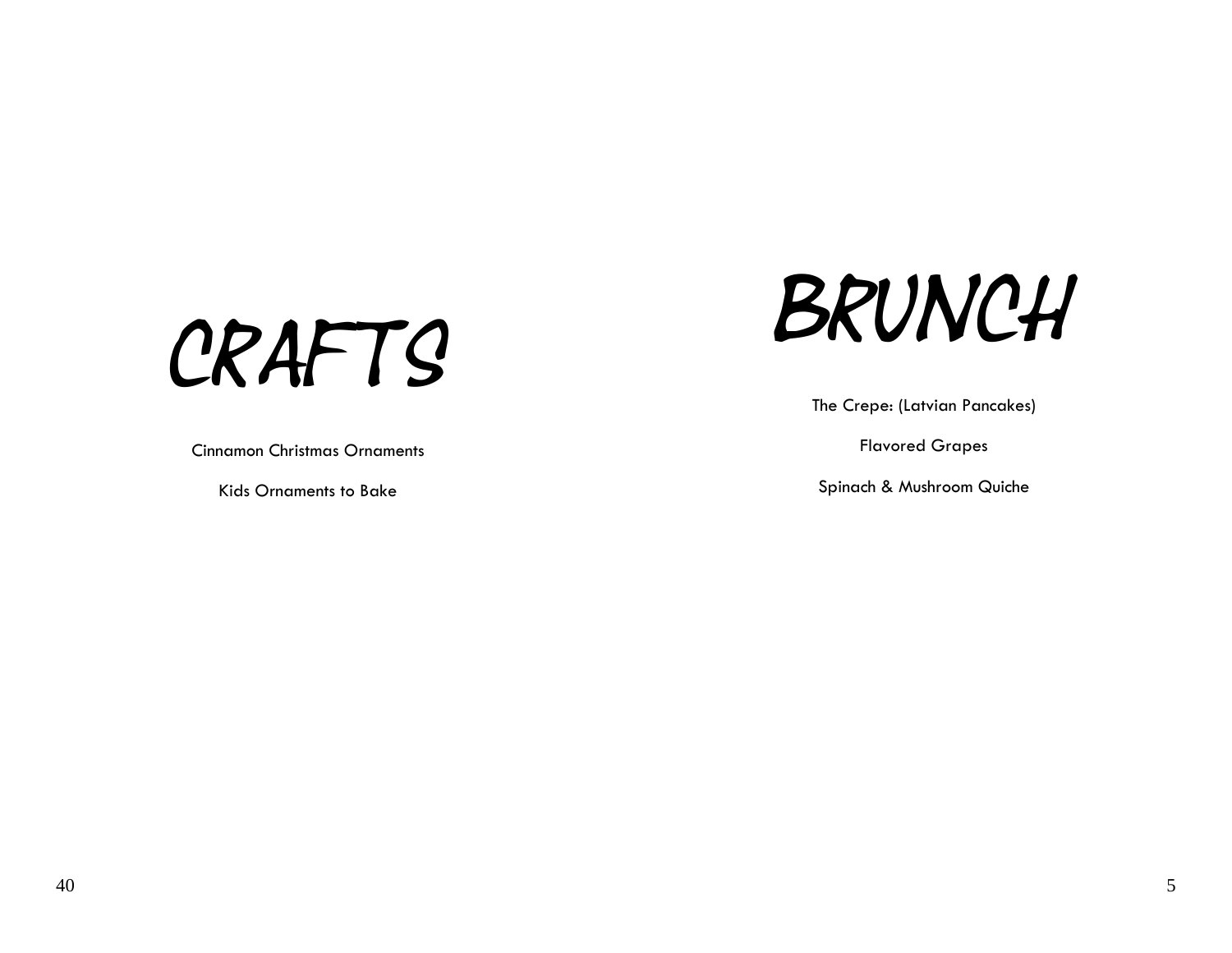CRAFTS BRUNCH

The Crepe: (Latvian Pancakes)

Spinach & Mushroom Quiche

Cinnamon Christmas Ornaments hristmas in the control of the control of the control of the control of the control of the control of the control of the control of the control of the control of the control of the control of t

Kids Ornaments to Bake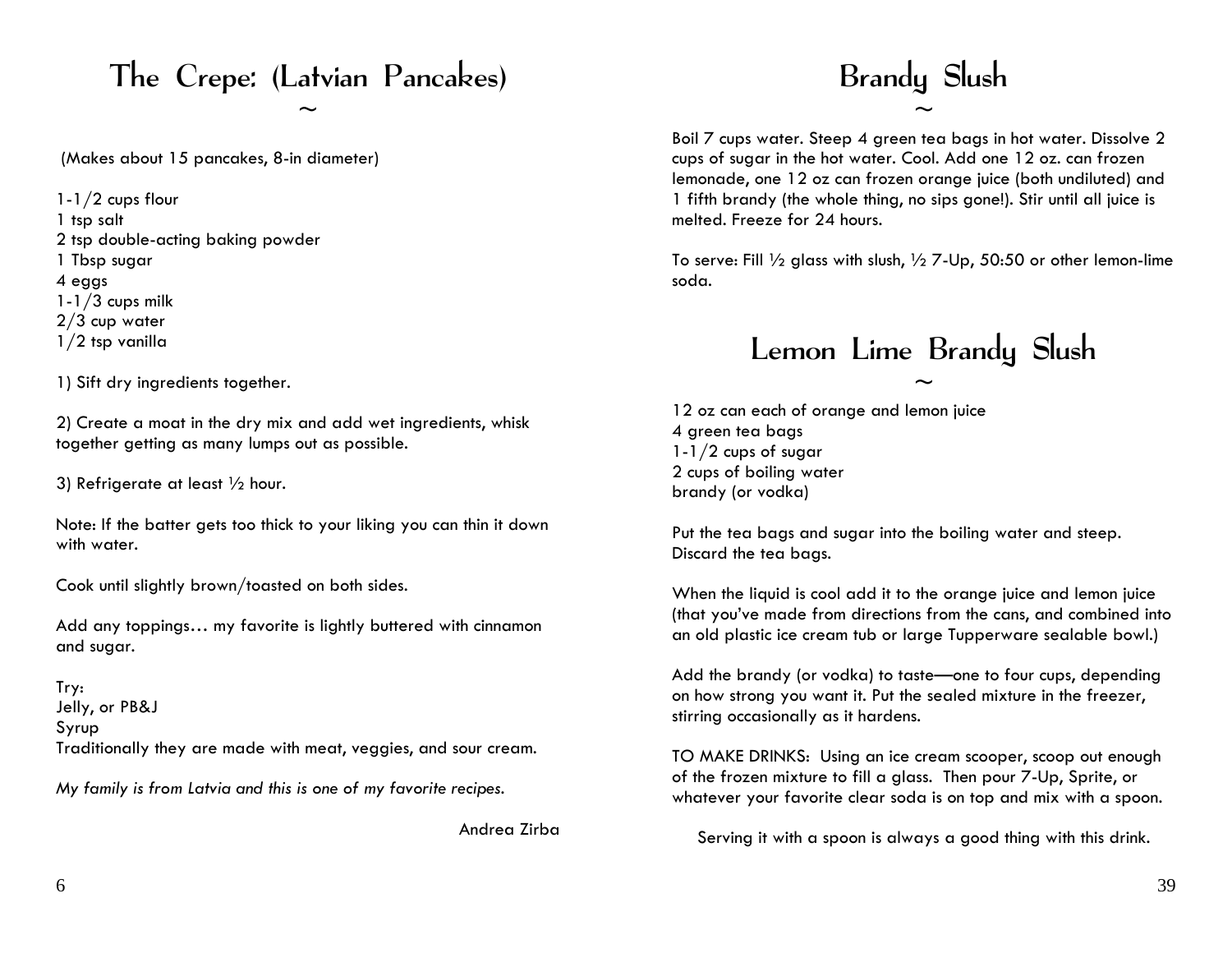## The Crepe: (Latvian Pancakes) Brandy Slush

(Makes about 15 pancakes, 8-in diameter)

1-1/2 cups flour 1 tsp salt 2 tsp double-acting baking powder 4 eggs soda.  $1-1/3$  cups milk 2/3 cup water

1) Sift dry ingredients together.

12 oz can each of orange and lemon juice 2) Create a moat in the dry mix and add wet ingredients, whisk together getting as many lumps out as possible.  $1-1/2$  cups of sugar

Note: If the batter gets too thick to your liking you can thin it down

Add any toppings... my favorite is lightly buttered with cinnamon<br>and plastic ice cream tub or large Tupperware sealable bowl.)<br>and sugar.

Try: Jelly, or PB&J Syrup Traditionally they are made with meat, veggies, and sour cream. TO MAKE DRINKS: Using an ice cream scooper, scoop out enough

# $\sim$   $\sim$

Boil 7 cups water. Steep 4 green tea bags in hot water. Dissolve 2 cups of sugar in the hot water. Cool. Add one 12 oz. can frozen lemonade, one 12 oz can frozen orange juice (both undiluted) and 1 fifth brandy (the whole thing, no sips gone!). Stir until all juice is melted. Freeze for 24 hours.

1 Tbsp sugar To serve: Fill ½ glass with slush, ½ 7-Up, 50:50 or other lemon-lime

# 1/2 tsp vanilla<br>
Lemon Lime Brandy Slush

2 cups of boiling water 3) Refrigerate at least 1/2 hour.<br>
2 cups of boiling water brandy (or vodka)

Wole: it the batter gets too thick to your liking you can min it down<br>With water. With water. We had steep. Discard the tea bags.

Cook until slightly brown/toasted on both sides. When the liquid is cool add it to the orange juice and lemon juice (that you've made from directions from the cans, and combined into

> Add the brandy (or vodka) to taste—one to four cups, depending on how strong you want it. Put the sealed mixture in the freezer, stirring occasionally as it hardens.

of the frozen mixture to fill a glass. Then pour 7-Up, Sprite, or Wy family is from Latvia and this is one of my favorite recipes.<br>
whatever your favorite clear soda is on top and mix with a spoon.

Andrea Zirba Serving it with a spoon is always a good thing with this drink.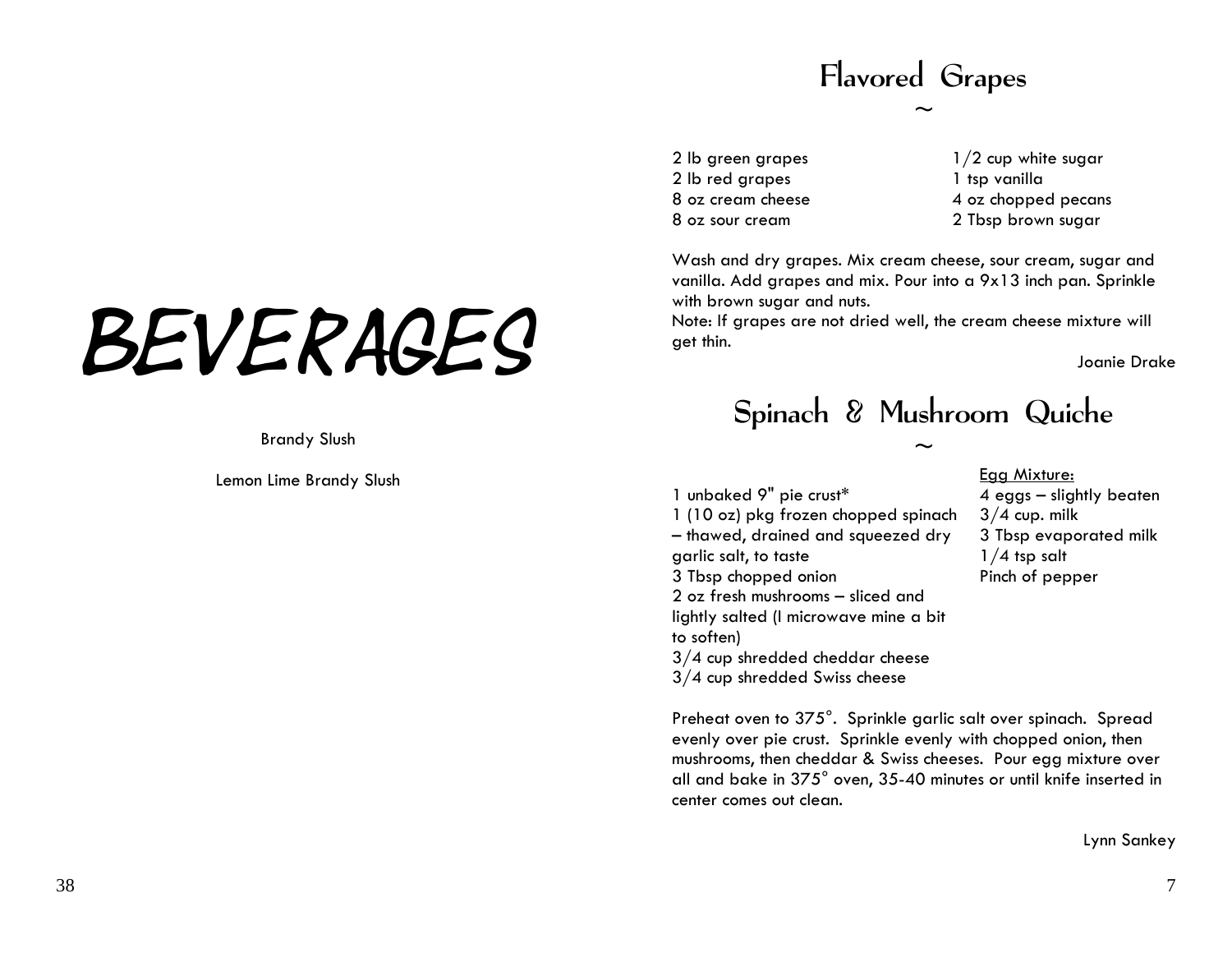# Flavored Grapes

 $\sim$ 

2 lb green grapes 2 lb red grapes 8 oz cream cheese 8 oz sour cream

1/2 cup white sugar 1 tsp vanilla 4 oz chopped pecans 2 Tbsp brown sugar

Wash and dry grapes. Mix cream cheese, sour cream, sugar and vanilla. Add grapes and mix. Pour into a 9x13 inch pan. Sprinkle with brown sugar and nuts.

Note: If grapes are not dried well, the cream cheese mixture will get thin.

Joanie Drake

### Spinach & Mushroom Quiche

Preheat oven to 375°. Sprinkle garlic salt over spinach. Spread evenly over pie crust. S prinkle evenly with chopped onion, then mushrooms, then cheddar & Swiss cheeses. Pour egg mixture over all and bake in 375° oven, 35-40 minutes or until knife inserted in

 $\sim$ 

1 unbaked 9" pie crust\* 1 (10 oz) pkg frozen chopped spinach – thawed, drained and squeezed dry garlic salt, to taste 3 Tbsp chopped onion 2 oz fresh mushrooms – sliced and lightly salted (I microwave mine a bit to soften) 3/4 cup shredded cheddar cheese 3/4 cup shredded Swiss cheese

center comes out clean.

#### Egg Mixture:

4 eggs – slightly beaten  $3/4$  cup. milk 3 Tbsp evaporated milk  $1/4$  tsp salt Pinch of pepper

# BEVERAGES

Brandy Slush

Lemon Lime Brandy Slush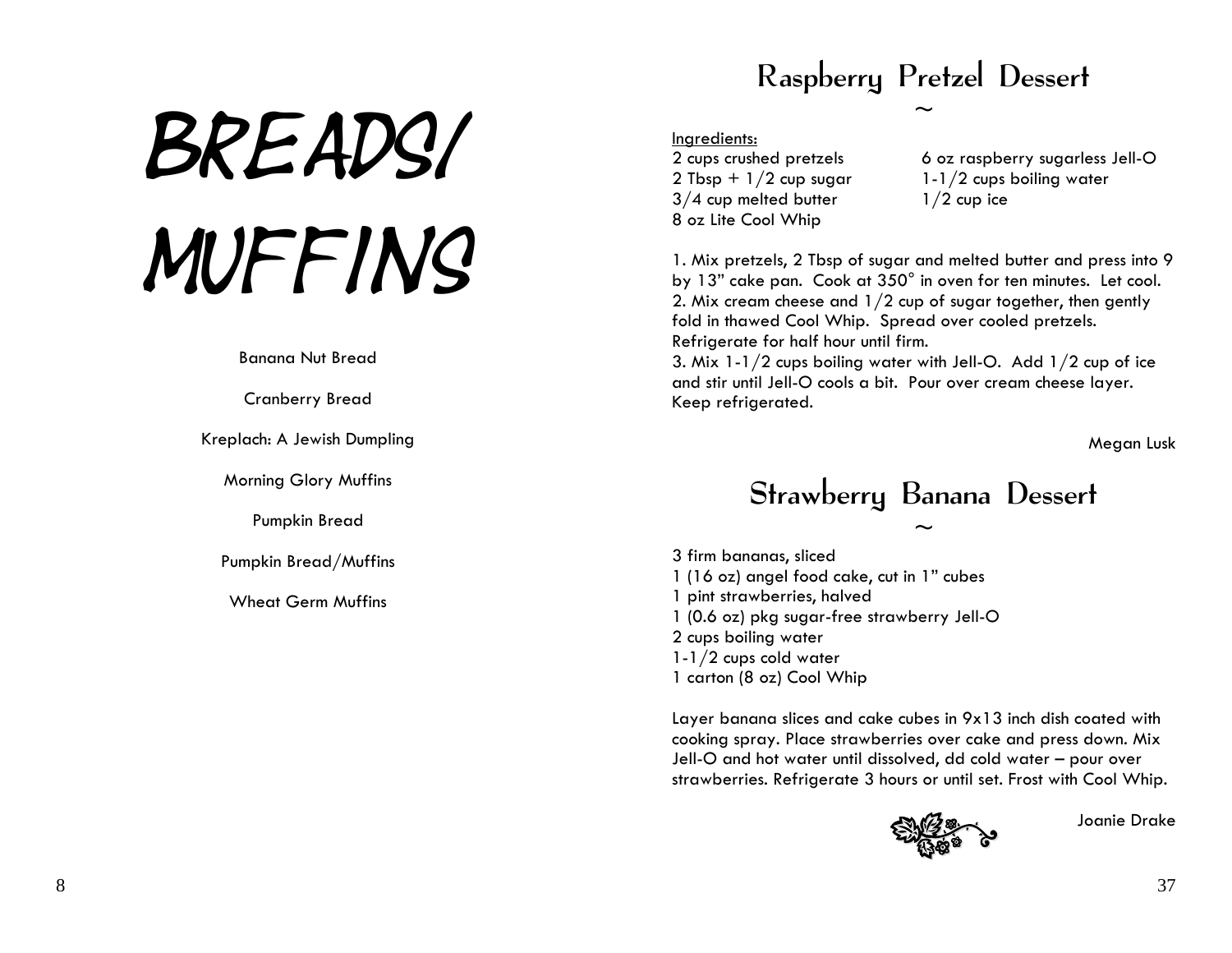# BREADS/ MUFFINS

Banana Nut Bread

Cranberry Bread

Kreplach: A Jewish Dumpling

Morning Glory Muffins

Pumpkin Bread

Pumpkin Bread/Muffins

Wheat Germ Muffins

# Raspberry Pretzel Dessert

 $\sim$ 

#### Ingredients:

2 cups crushed pretzels 2 Tbsp +  $1/2$  cup sugar 3/4 cup melted butter 8 oz Lite Cool Whip

6 oz raspberry sugarless Jell-O 1-1/2 cups boiling water  $1/2$  cup ice

1. Mix pretzels, 2 Tbsp of sugar and melted butter and press into 9 by 13" cake pan. Cook at 350° in oven for ten minutes. Let cool. 2. Mix cream cheese and 1/2 cup of sugar together, then gently fold in thawed Cool Whip. Spread over cooled pretzels. Refrigerate for half hour until firm.

3. Mix 1-1/2 cups boiling water with Jell-O. Add 1/2 cup of ice and stir until Jell-O cools a bit. Pour over cream cheese layer. Keep refrigerated.

Megan Lusk

### Strawberry Banana Dessert  $\sim$

3 firm bananas, sliced 1 (16 oz) angel food cake, cut in 1" cubes 1 pint strawberries, hal ved 1 (0.6 oz) pkg sugar-free strawberry Jell-O 2 cups boiling water 1-1/2 cups cold water 1 carton (8 oz) Cool Whip

Layer banana slices and cake cubes in 9x13 inch dish coated with cooking spray. Place strawberries over cake and press down. Mix Jell-O and hot water until dissolved, dd cold water – pour over strawberries. Refrigerate 3 hours or until set. Frost with Cool Whip.



Joanie Drake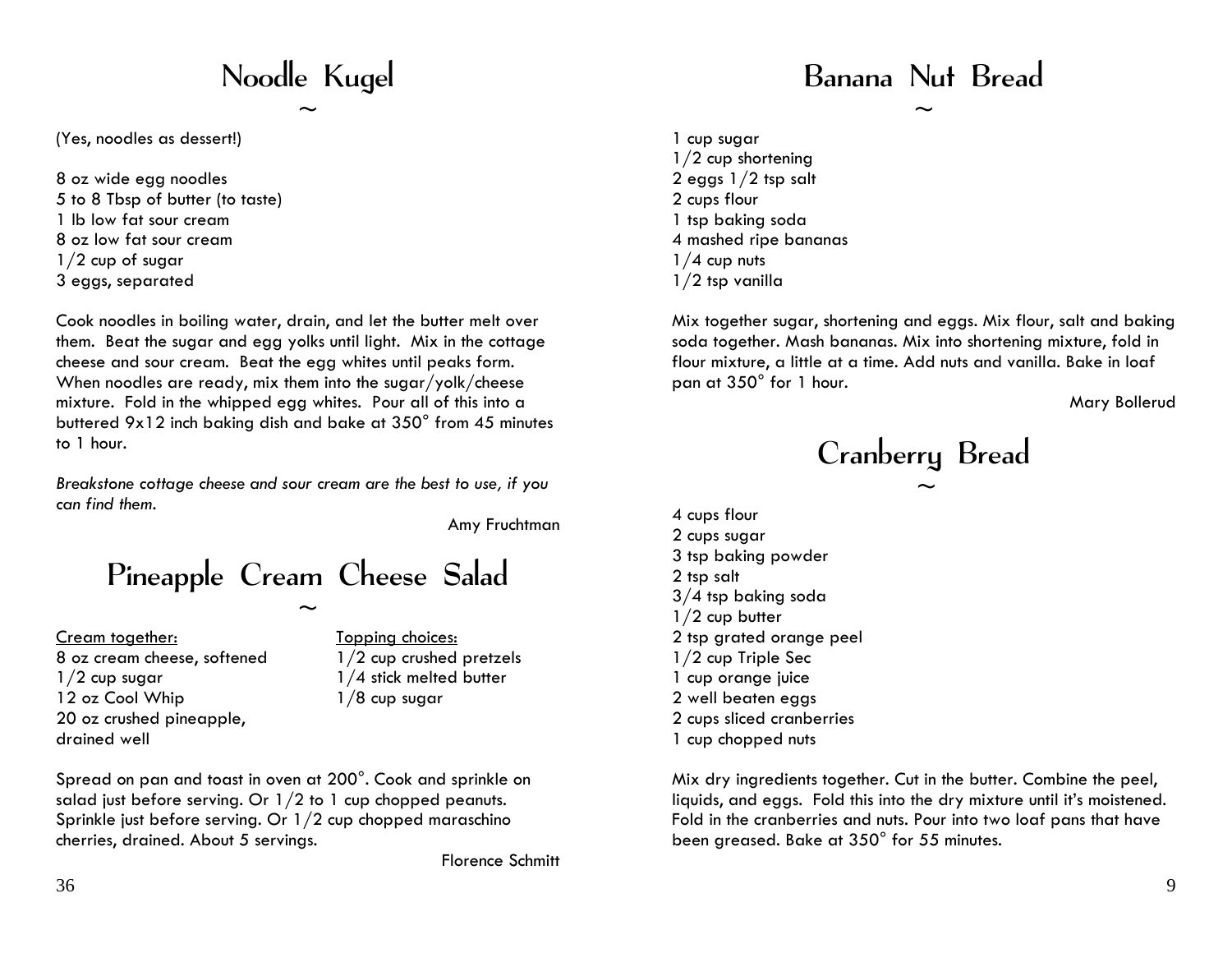# Noodle Kugel

 $\sim$ 

(Yes, noodles as dessert!)

8 oz wide egg noodles 5 to 8 Tbsp of butter (to taste) 1 lb low fat sour cream 8 oz low fat sour cream1/2 cup of sugar 3 eggs, separated

Cook noodles in boiling water, drain, and let the butter melt over them. Beat the sugar and egg yolks until light. Mix in the cottage cheese and sour cream. Beat the egg whites until peaks form. When noodles are ready, mix them into the sugar/yolk/cheese mixture. Fold in the whipped egg whites. Pour all of this into a buttered 9x12 inch baking dish and bake at 350° from 45 minutes to 1 hour.

*Breakstone cottage cheese and sour cream are the best to use, if you can find them.* 

Amy Fruchtman

# Pineapple Cream Cheese Salad

 $\sim$ 

Cream together: 8 oz cream cheese, softened  $1/2$  cup sugar 12 oz Cool Whip 20 oz crushed pineapple, drained well

Topping choices: 1/2 cup crushed pretzels 1/4 stick melted butter  $1/8$  cup sugar

Spread on pan and toast in oven at 200°. Cook and sprinkle on salad just before serving. Or 1/2 to 1 cup chopped peanuts. Sprinkle just before serving. Or 1/2 cup chopped maraschino cherries, drained. About 5 servings.

Florence Schmitt

### Banana Nut Bread

 $\sim$ 

1 cup sugar 1/2 cup shortening 2 eggs 1/2 tsp salt 2 cups flour 1 tsp baking soda 4 mashed ripe bananas  $1/4$  cup nuts 1/2 tsp vanilla

Mix together sugar, shortening and eggs. Mix flour, salt and baking soda together. Mash bananas. Mix into shortening mixture, fold in flour mixture, a little at a time. Add nuts and vanilla. Bake in loaf pan at 350° for 1 hour.

Mary Bollerud

Cranberry Bread  $\sim$ 

4 cups flour 2 cups sugar 3 tsp baking powder 2 tsp salt 3/4 tsp baking soda 1/2 cup butter 2 tsp grated orange peel 1/2 cup Triple Sec 1 cup orange juice 2 well beaten eggs 2 cups sliced cranberries 1 cup chopped nuts

Mix dry ingredients together. Cut in the butter. Combine the peel, liquids, and eggs. Fold this into the dry mixture until it's moistened. Fold in the cranberries and nuts. Pour into two loaf pans that have been greased. Bake at 350° for 55 minutes.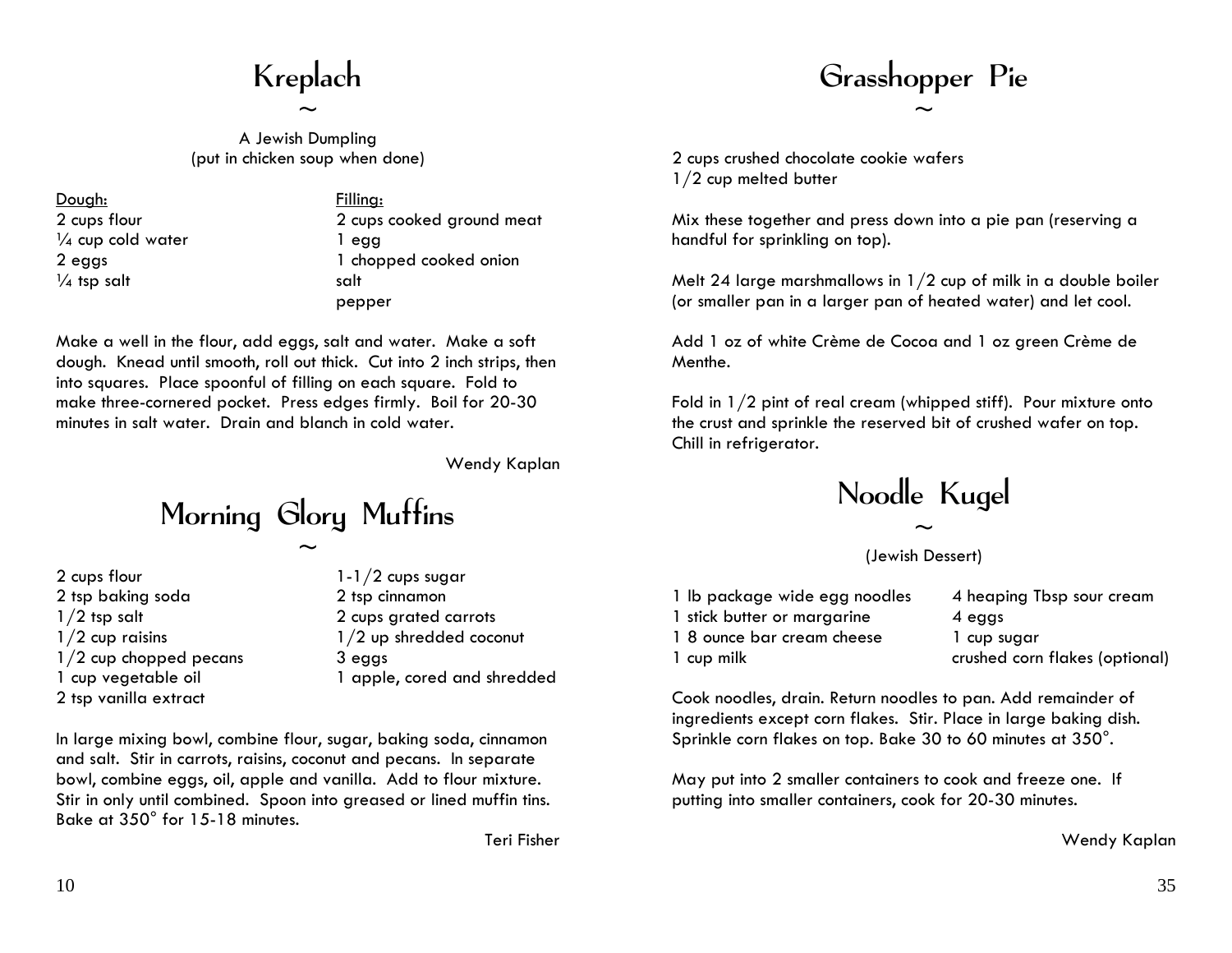# Kreplach

 $\sim$ 

A Jewish Dumpling (put in chicken soup when done)

Dough: 2 cups flour  $\frac{1}{4}$  cup cold water 2 eggs  $\frac{1}{4}$  tsp salt

Filling: 2 cups cooked ground meat 1 egg 1 chopped cooked onion salt pepper

Make a well in the flour, add eggs, salt and water. Make a soft dough. Knead until smooth, roll out thick. Cut into 2 inch strips, then into squares. Place spoonful of filling on each square. Fold to make three-cornered pocket. Press edges firmly. Boil for 20-30 minutes in salt water. Drain and blanch in cold water.

Wendy Kaplan

Morning Glory Muffins

 $\sim$ 

- 2 cups flour 2 tsp baking soda 1/2 tsp salt  $1/2$  cup raisins 1/2 cup chopped pecans 1 cup vegetable oil 2 tsp vanilla extract
- 1-1/2 cups sugar 2 tsp cinnamon 2 cups grated carrots 1/2 up shredded coconut 3 eggs 1 apple, cored and shredded

In large mixing bowl, combine flour, sugar, baking soda, cinnamon and salt. Stir in carrots, raisins, coconut and pecans. In separate bowl, combine eggs, oil, apple and vanilla. Add to flour mixture. Stir in only until combined. Spoon into greased or lined muffin tins. Bake at 350° for 15-18 minutes.

Teri Fisher

### Grasshopper Pie  $\sim$

2 cups crushed chocolate cookie wafers 1/2 cup melted butter

Mix these together and press down into a pie pan (reserving a handful for sprinkling on top).

Melt 24 large marshmallows in 1/2 cup of milk in a double boiler (or smaller pan in a larger pan of heated water) and let cool.

Add 1 oz of white Crème de Cocoa and 1 oz green Crème de Menthe.

Fold in 1/2 pint of real cream (whipped stiff). Pour mixture onto the crust and sprinkle the reserved bit of crushed wafer on top. Chill in refrigerator.

Noodle Kugel

 $\sim$ (Jewish Dessert)

| 1 lb package wide egg noodles | 4 heaping Tbsp sour cream      |
|-------------------------------|--------------------------------|
| 1 stick butter or margarine   | 4 eags                         |
| 1 8 ounce bar cream cheese    | 1 cup sugar                    |
| 1 cup milk                    | crushed corn flakes (optional) |

Cook noodles, drain. Return noodles to pan. Add remainder of ingredients except corn flakes. Stir. Place in large baking dish. Sprinkle corn flakes on top. Bake 30 to 60 minutes at 350°.

May put into 2 smaller containers to cook and freeze one. If putting into smaller containers, cook for 20-30 minutes.

Wendy Kaplan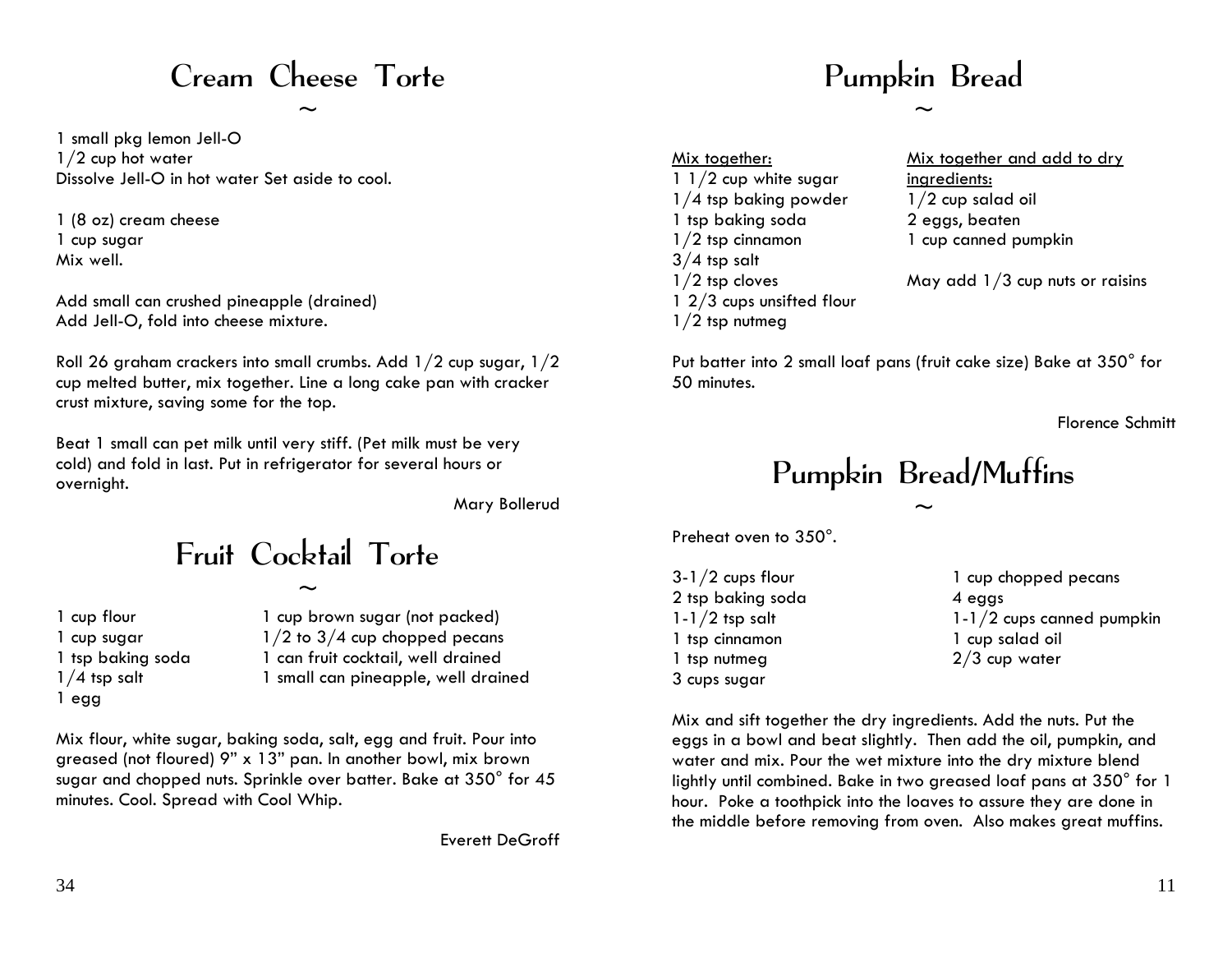### Cream Cheese Torte

 $\sim$ 

1 small pkg lemon Jell-O 1/2 cup hot water Dissolve Jell-O in hot water Set aside to cool.

1 (8 oz) cream cheese 1 cup sugar Mix well.

Add small can crushed pineapple (drained) Add Jell-O, fold into cheese mixture.

Roll 26 graham crackers into small crumbs. Add 1/2 cup sugar, 1/2 cup melted butter, mix together. Line a long cake pan with cracker crust mixture, saving some for the top.

Beat 1 small can pet milk until very stiff. (Pet milk must be very cold) and fold in last. Put in refrigerator for several hours or overnight.

Mary Bollerud

# Fruit Cocktail Torte

 $\sim$ 

1 cup flour 1 cup sugar 1 tsp baking soda  $1/4$  tsp salt 1 egg

1 cup brown sugar (not packed)  $1/2$  to  $3/4$  cup chopped pecans 1 can fruit cocktail, well drained 1 small can pineapple, well drained

Mix flour, white sugar, baking soda, salt, egg and fruit. Pour into greased (not floured) 9" x 13" pan. In another bowl, mix brown sugar and chopped nuts. Sprinkle over batter. Bake at 350° for 45 minutes. Cool. Spread with Cool Whip.

Everett DeGroff

### Pumpkin Bread

 $\sim$ 

| Mix together:             |   |
|---------------------------|---|
| 1 $1/2$ cup white sugar   | į |
| $1/4$ tsp baking powder   |   |
| 1 tsp baking soda         |   |
| $1/2$ tsp cinnamon        |   |
| $3/4$ tsp salt            |   |
| $1/2$ tsp cloves          |   |
| 1 2/3 cups unsifted flour |   |
| $1/2$ tsp nutmeg          |   |

Mix together and add to dry ingredients: 1/2 cup salad oil 2 eggs, beaten 1 cup canned pumpkin

May add  $1/3$  cup nuts or raisins

Put batter into 2 small loaf pans (fruit cake size) Bake at 350° for 50 minutes.

Florence Schmitt

# Pumpkin Bread/Muffins

 $\sim$ 

Preheat oven to 350°.

3-1/2 cups flour 2 tsp baking soda  $1-1/2$  tsp salt 1 tsp cinnamon 1 tsp nutmeg 3 cups sugar

1 cup chopped pecans 4 eggs 1-1/2 cups canned pumpkin 1 cup salad oil 2/3 cup water

Mix and sift together the dry ingredients. Add the nuts. Put the eggs in a bowl and beat slightly. Then add the oil, pumpkin, and water and mix. Pour the wet mixture into the dry mixture blend lightly until combined. Bake in two greased loaf pans at 350° for 1 hour. Poke a toothpick into the loaves to assure they are done in the middle before removing from oven. Also makes great muffins.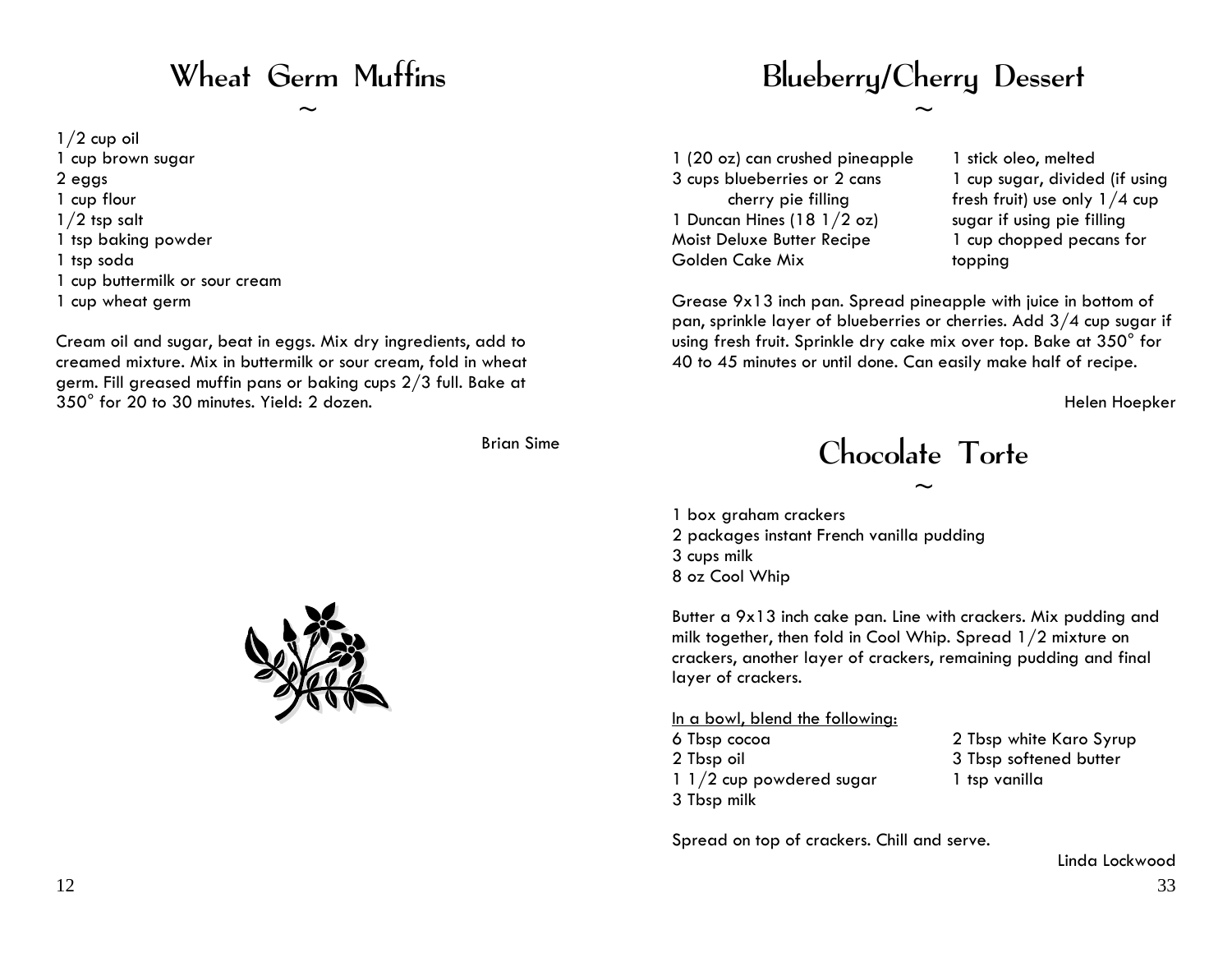### Wheat Germ Muffins

 $\sim$ 

 $1/2$  cup oil 1 cup brown sugar 2 eggs 1 cup flour  $1/2$  tsp salt 1 tsp baking powder 1 tsp soda 1 cup buttermilk or sour cream 1 cup wheat germ

Cream oil and sugar, beat in eggs. Mix dry ingredients, add to creamed mixture. Mix in buttermilk or sour cream, fold in wheat germ. Fill greased muffin pans or baking cups 2/3 full. Bake at 350° for 20 to 30 minutes. Yield: 2 dozen.

Brian Sime



# Blueberry/Cherry Dessert

 $\sim$ 

1 (20 oz) can crushed pineapple 3 cups blueberries or 2 cans cherry pie filling 1 Duncan Hines (18 1/2 oz) Moist Deluxe Butter Recipe Golden Cake Mix

1 stick oleo, melted 1 cup sugar, divided (if using fresh fruit) use only  $1/4$  cup sugar if using pie filling 1 cup chopped pecans for topping

Grease 9x13 inch pan. Spread pineapple with juice in bottom of pan, sprinkle layer of blueberries or cherries. Add 3/4 cup sugar if using fresh fruit. Sprinkle dry cake mix over top. Bake at 350° for 40 to 45 minutes or until done. Can easily make half of recipe.

Helen Hoepker

# Chocolate Torte

 $\sim$ 

1 box graham crackers 2 packages instant French vanilla pudding 3 cups milk 8 oz Cool Whip

Butter a 9x13 inch cake pan. Line with crackers. Mix pudding and milk together, then fold in Cool Whip. Spread 1/2 mixture on crackers, another layer of crackers, remaining pudding and final layer of crackers.

#### In a bowl, blend the following:

6 Tbsp cocoa 2 Tbsp oil 1 1/2 cup powdered sugar 3 Tbsp milk

2 Tbsp white Karo Syrup 3 Tbsp softened butter 1 tsp vanilla

Spread on top of crackers. Chill and serve.

33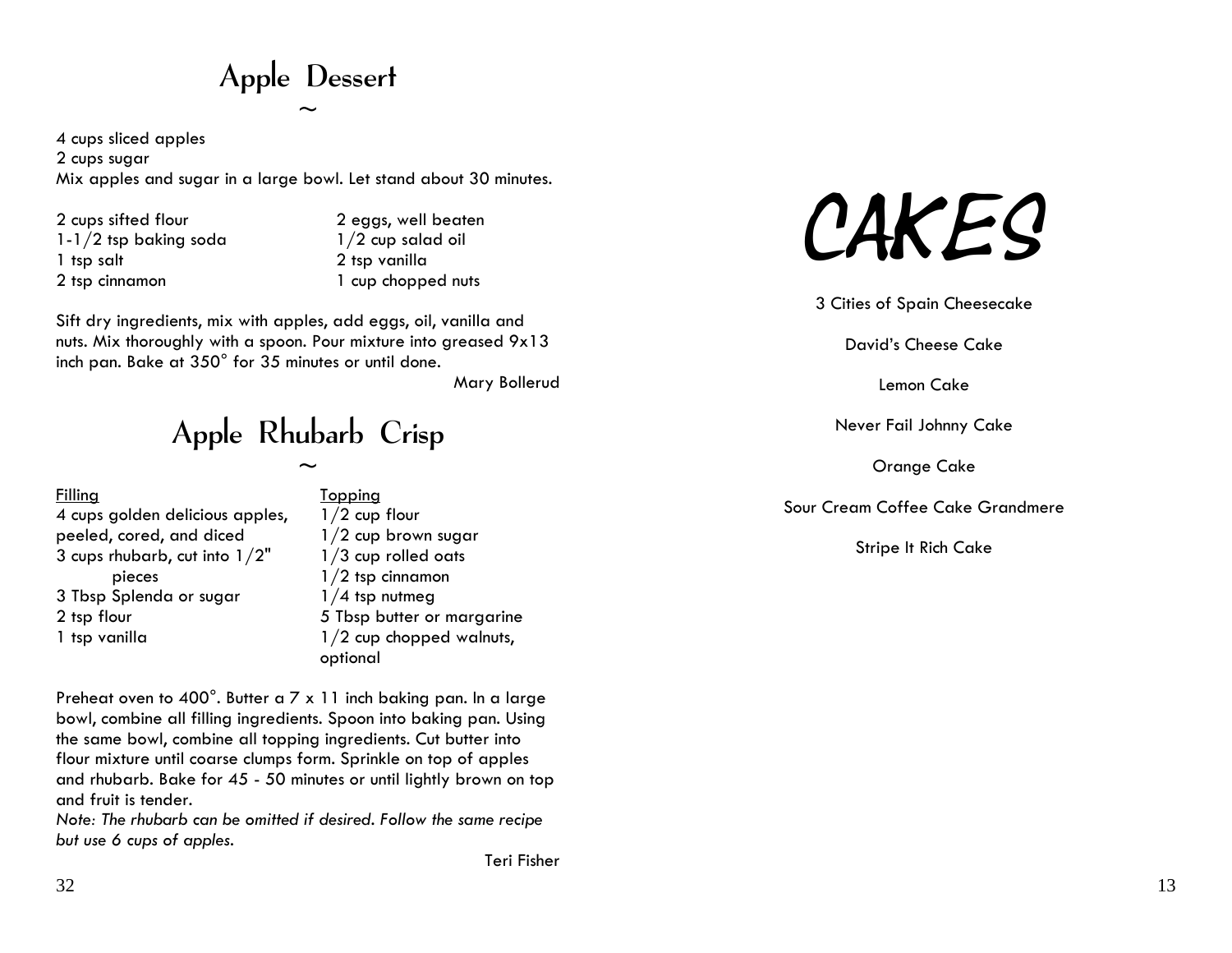Apple Dessert  $\sim$ 

4 cups sliced apples 2 cups sugar Mix apples and sugar in a large bowl. Let stand about 30 minutes.

2 cups sifted flour 1-1/2 tsp baking soda 1 tsp salt 2 tsp cinnamon

2 eggs, well beaten 1/2 cup salad oil 2 tsp vanilla 1 cup chopped nuts

Sift dry ingredients, mix with apples, add eggs, oil, vanilla and nuts. Mix thoroughly with a spoon. Pour mixture into greased 9x13 inch pan. Bake at 350° for 35 minutes or until done.

Mary Bollerud

Apple Rhubarb Crisp

 $\sim$ 

| <b>Filling</b>                  |
|---------------------------------|
| 4 cups golden delicious apples, |
| peeled, cored, and diced        |
| 3 cups rhubarb, cut into $1/2"$ |
| pieces                          |
| 3 Tbsp Splenda or sugar         |
| 2 tsp flour                     |
| 1 tsp vanilla                   |
|                                 |

**Topping** es,  $1/2$  cup flour 1/2 cup brown sugar 1/3 cup rolled oats 1/2 tsp cinnamon  $1/4$  tsp nutmeg 5 Tbsp butter or margarine 1/2 cup chopped walnuts,

Preheat oven to 400°. Butter a 7 x 11 inch baking pan. In a large bowl, combine all filling ingredients. Spoon into baking pan. Using the same bowl, combine all topping ingredients. Cut butter into flour mixture until coarse clumps form. Sprinkle on top of apples and rhubarb. Bake for 45 - 50 minutes or until lightly brown on top and fruit is tender.

optional

*Note: The rhubarb can be omitted if desired. Follow the same recipe but use 6 cups of apples.*



3 Cities of Spain Cheesecake

David's Cheese Cake

Lemon Cake

Never Fail Johnny Cake

Orange Cake

Sour Cream Coffee Cake Grandmere

Stripe It Rich Cake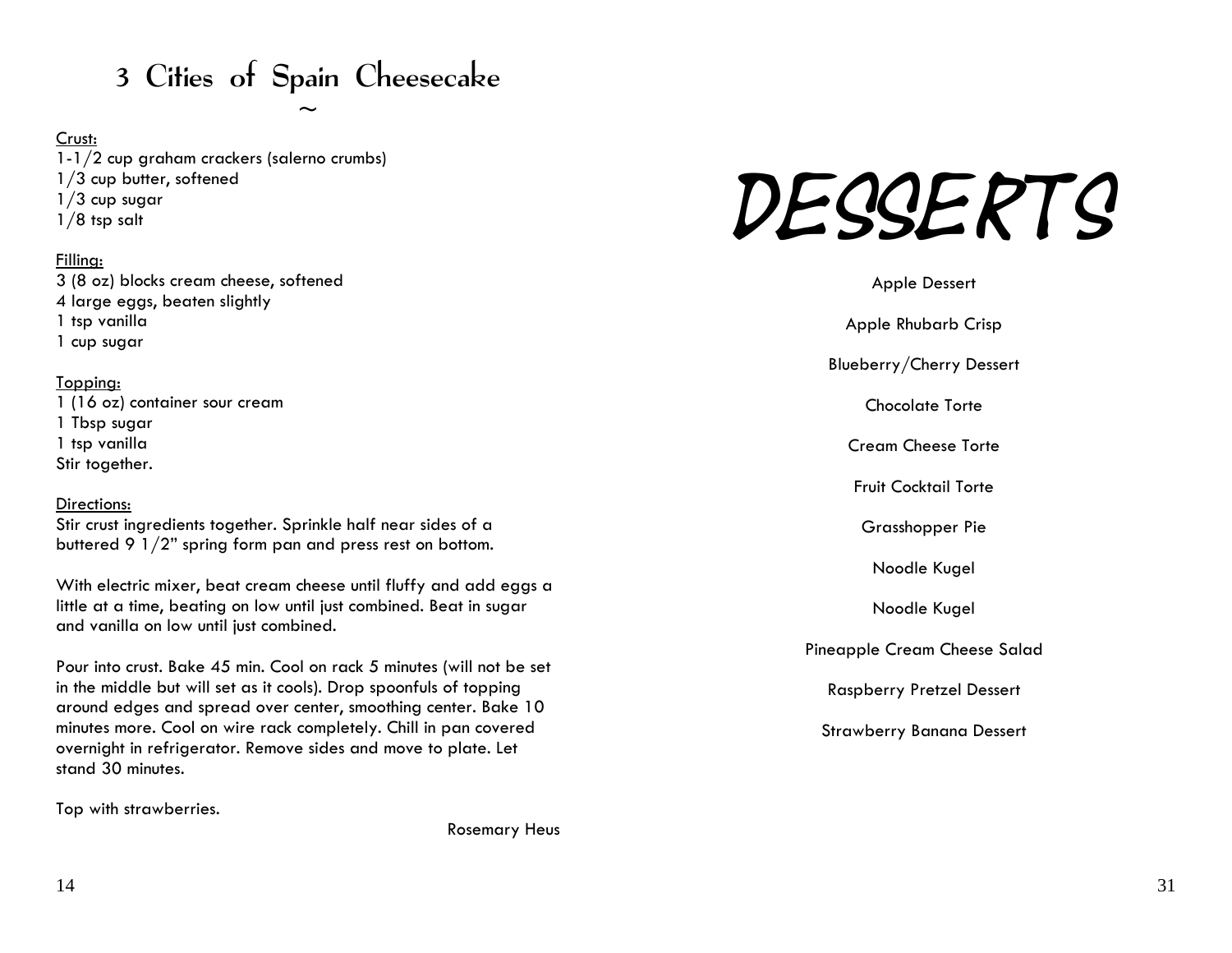# 3 Cities of Spain Cheesecake

 $\sim$ 

#### Crust:

1-1/2 cup graham crackers (salerno crumbs) 1/3 cup butter, softened  $1/3$  cup sugar 1/8 tsp salt

#### Filling:

3 (8 oz) blocks cream cheese, softened 4 large eggs, beaten slightly 1 tsp vanilla 1 cup sugar

#### Topping:

1 (16 oz) container sour cream 1 Tbsp sugar 1 tsp vanilla Stir together.

#### Directions:

Stir crust ingredients together. Sprinkle half near sides of a buttered 9 1/2" spring form pan and press rest on bottom.

With electric mixer, beat cream cheese until fluffy and add eggs a little at a time, beating on low until just combined. Beat in sugar and vanilla on low until just combined.

Pour into crust. Bake 45 min. Cool on rack 5 minutes (will not be set in the middle but will set as it cools). Drop spoonfuls of topping around edges and spread over center, smoothing center. Bake 10 minutes more. Cool on wire rack completely. Chill in pan covered overnight in refrigerator. Remove sides and move to plate. Let stand 30 minutes.

Top with strawberries.

Rosemary Heus



| <b>Apple Dessert</b>             |
|----------------------------------|
| <b>Apple Rhubarb Crisp</b>       |
| Blueberry/Cherry Dessert         |
| <b>Chocolate Torte</b>           |
| <b>Cream Cheese Torte</b>        |
| Fruit Cocktail Torte             |
| Grasshopper Pie                  |
| Noodle Kugel                     |
| Noodle Kugel                     |
| Pineapple Cream Cheese Salad     |
| <b>Raspberry Pretzel Dessert</b> |
| <b>Strawberry Banana Dessert</b> |
|                                  |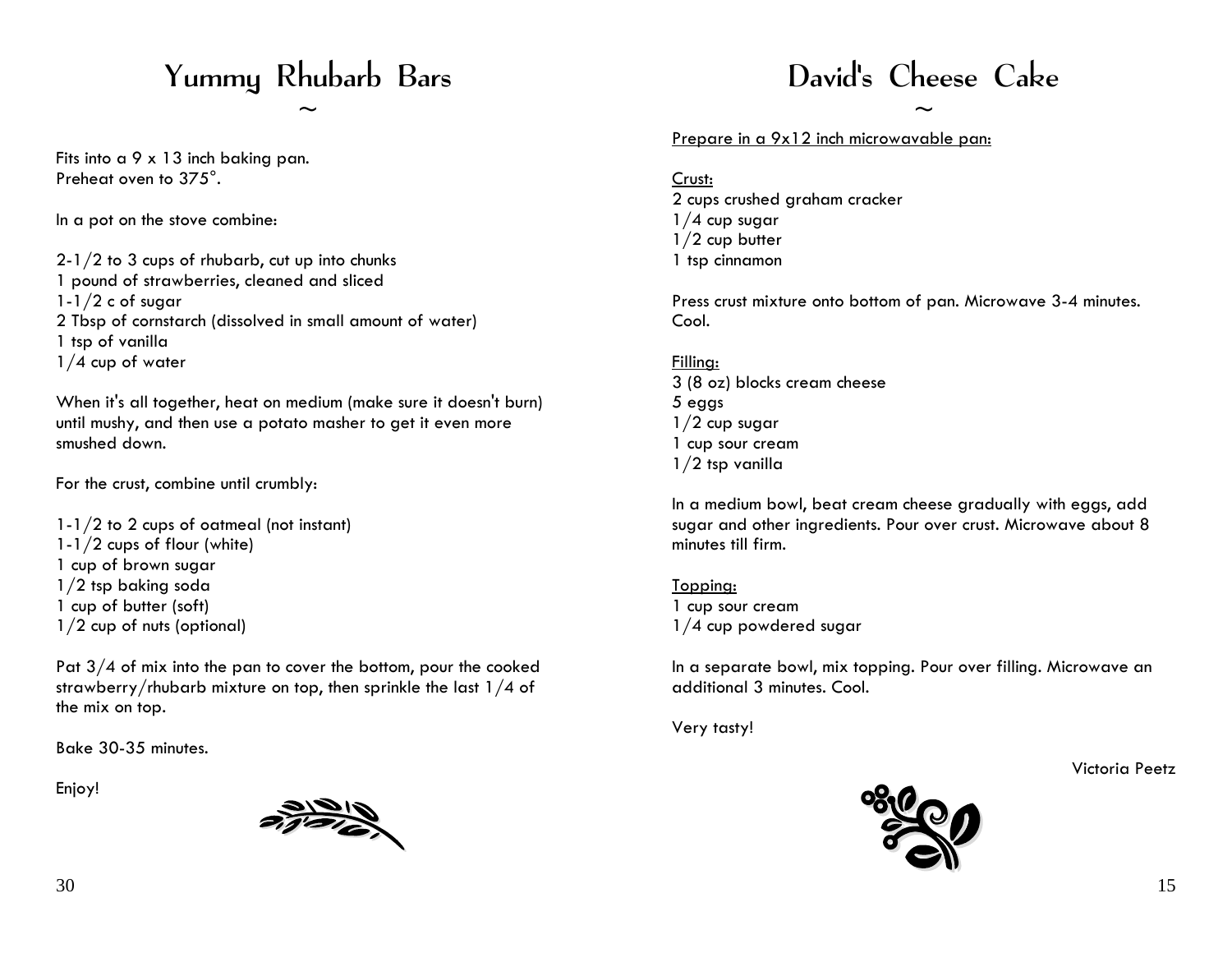# Yummy Rhubarb Bars

 $\sim$ 

Fits into a 9 x 13 inch baking pan. Preheat oven to 375°.

In a pot on the stove combine:

2-1/2 to 3 cups of rhubarb, cut up into chunks 1 pound of strawberries, cleaned and sliced  $1-1/2$  c of sugar 2 Tbsp of cornstarch (dissolved in small amount of water) 1 tsp of vanilla 1/4 cup of water

When it's all together, heat on medium (make sure it doesn't burn) until mushy, and then use a potato masher to get it even more smushed down.

For the crust, combine until crumbly:

1-1/2 to 2 cups of oatmeal (not instant) 1-1/2 cups of flour (white) 1 cup of brown sugar 1/2 tsp baking soda 1 cup of butter (soft) 1/2 cup of nuts (optional)

Pat  $3/4$  of mix into the pan to cover the bottom, pour the cooked strawberry/rhubarb mixture on top, then sprinkle the last 1/4 of the mix on top.

Bake 30-35 minutes.

Enjoy!



# David's Cheese Cake

 $\sim$ 

Prepare in a 9x12 inch microwavable pan:

Crust: 2 cups crushed graham cracker  $1/4$  cup sugar 1/2 cup butter 1 tsp cinnamon

Press crust mixture onto bottom of pan. Microwave 3-4 minutes. Cool.

#### Filling: 3 (8 oz) blocks cream cheese 5 eggs  $1/2$  cup sugar 1 cup sour cream 1/2 tsp vanilla

In a medium bowl, beat cream cheese gradually with eggs, add sugar and other ingredients. Pour over crust. Microwave about 8 minutes till firm.

Topping: 1 cup sour cream 1/4 cup powdered sugar

In a separate bowl, mix topping. Pour over filling. Microwave an additional 3 minutes. Cool.

Very tasty!

Victoria Peetz

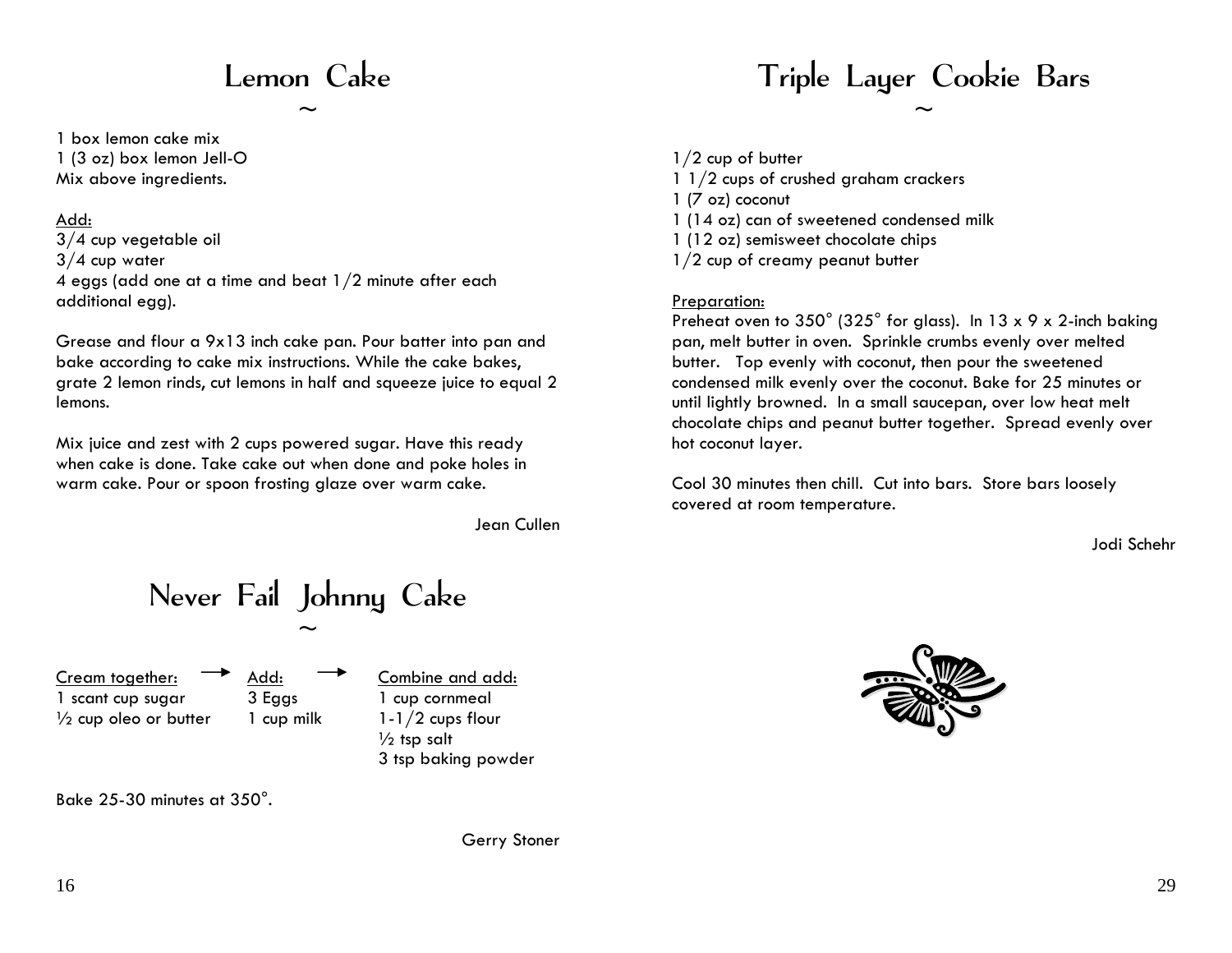# Lemon Cake

 $\sim$ 

1 box lemon cake mix 1 (3 oz) box lemon Jell-O Mix above ingredients.

#### Add:

3/4 cup vegetable oil 3/4 cup water 4 eggs (add one at a time and beat 1/2 minute after each additional egg).

Grease and flour a 9x13 inch cake pan. Pour batter into pan and bake according to cake mix instructions. While the cake bakes, grate 2 lemon rinds, cut lemons in half and squeeze juice to equal 2 lemons.

Mix juice and zest with 2 cups powered sugar. Have this ready when cake is done. Take cake out when done and poke holes in warm cake. Pour or spoon frosting glaze over warm cake.

Jean Cullen

Never Fail Johnny Cake  $\sim$ 

Cream together: 1 scant cup sugar 1/<sub>2</sub> cup oleo or butter Add: 3 Eggs 1 cup milk

Combine and add: 1 cup cornmeal 1-1/2 cups flour  $\frac{1}{2}$  tsp salt 3 tsp baking powder



Bake 25-30 minutes at 350°.

Gerry Stoner

# Triple Layer Cookie Bars

 $\sim$ 

 $1/2$  cup of butter

1 1/2 cups of crushed graham crackers

1 (7 oz) coconut

- 1 (14 oz) can of sweetened condensed milk
- 1 (12 oz) semisweet chocolate chips
- 1/2 cup of creamy peanut butter

#### Preparation:

Preheat oven to 350° (325° for glass). In 13 x 9 x 2-inch baking pan, melt butter in oven. Sprinkle crumbs evenly over melted butter. Top evenly with coconut, then pour the sweetened condensed milk evenly over the coconut. Bake for 25 minutes or until lightly browned. In a small saucepan, over low heat melt chocolate chips and peanut butter together. Spread evenly over hot coconut layer.

Cool 30 minutes then chill. Cut into bars. Store bars loosely covered at room temperature.

Jodi Schehr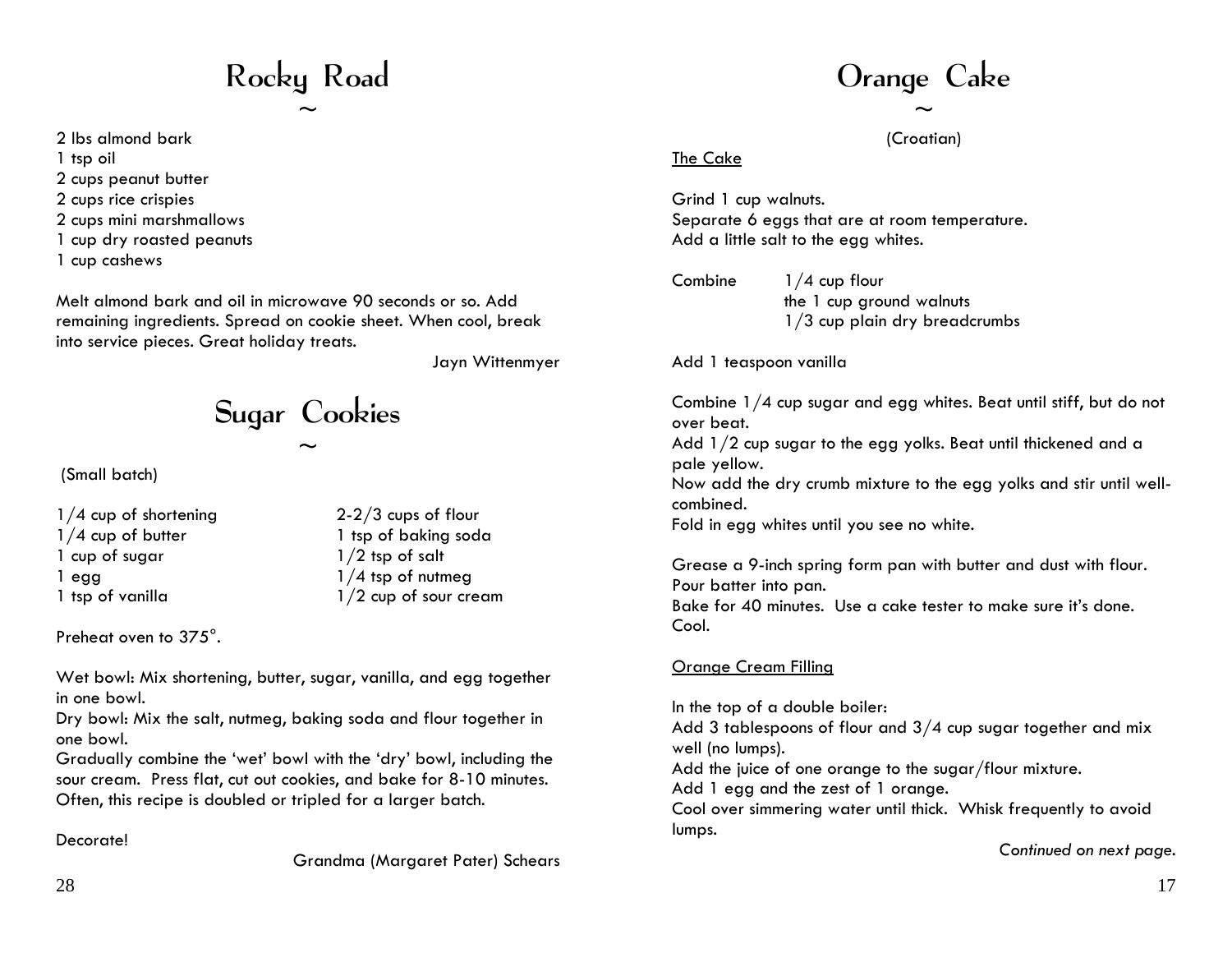# Rocky Road

 $\sim$ 

- 2 lbs almond bark
- 1 tsp oil
- 2 cups peanut butter
- 2 cups rice crispies
- 2 cups mini marshmallows
- 1 cup dry roasted peanuts
- 1 cup cashews

Melt almond bark and oil in microwave 90 seconds or so. Add remaining ingredients. Spread on cookie sheet. When cool, break into service pieces. Great holiday treats.

Jayn Wittenmyer

Sugar Cookies

 $\sim$ 

(Small batch)

1/4 cup of shortening 1/4 cup of butter 1 cup of sugar 1 egg 1 tsp of vanilla

2-2/3 cups of flour 1 tsp of baking soda  $1/2$  tsp of salt 1/4 tsp of nutmeg 1/2 cup of sour cream

Preheat oven to 375°.

Wet bowl: Mix shortening, butter, sugar, vanilla, and egg together in one bowl.

Dry bowl: Mix the salt, nutmeg, baking soda and flour together in one bowl.

Gradually combine the 'wet' bowl with the 'dry' bowl, including the sour cream. Press flat, cut out cookies, and bake f or 8-10 minutes. Often, this recipe is doubled or tripled for a larger batch.

#### Decorate!

Grandma ( Margaret P ater) Schears

# Orange Cake

 $\sim$ (Croatian)

#### The Cake

Grind 1 cup walnuts. Separate 6 eggs that are at room temperature. Add a little salt to the egg whites.

Combine 1/4 cup flour the 1 cup ground walnuts 1/3 cup plain dry breadcrumbs

Add 1 teaspoon vanilla

Combine 1/4 cup sugar and egg whites. Beat until stiff, but do not over beat.

Add 1/2 cup sugar to the egg yolks. Beat until thickened and a pale yellow.

Now add the dry crumb mixture to the egg yolks and stir until wellcombined.

Fold in egg whites until y ou see no white.

Grease a 9-inch spring form pan with butter and dust with flour. Pour batter into pan.

Bake for 40 minutes. Use a cake tester to make sure it's done. Cool.

#### Orange Cream Filling

In the top of a double boiler: Add 3 tablespoons of flour and 3/4 cup sugar together and mix well (no lumps). Add the juice of one orange to the sugar/flour mixture. Add 1 egg and the zest of 1 orange. Cool over simmering water until thick. Whisk fre quently to avoid lumps.

*Continued on next page.*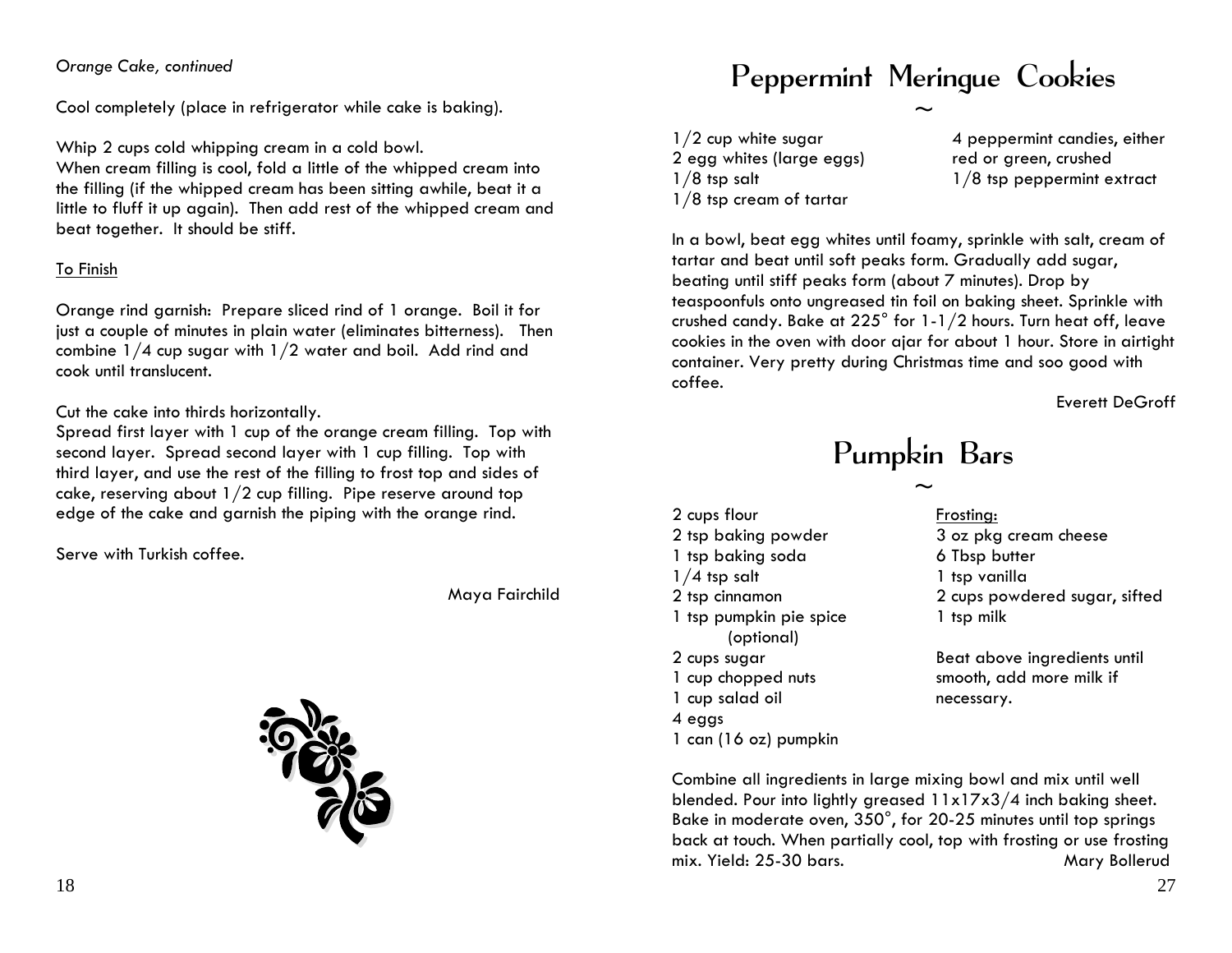#### *Orange Cake, continued*

Cool completely (place in refrigerator while cake is baking).

Whip 2 cups cold whipping cream in a cold bowl.

When cream filling is cool, fold a little of the whipped cream into the filling (if the whipped cream has been sitting awhile, beat it a little to fluff it up again). Then add rest of the whipped cream and beat together. It should be stiff.

#### To Finish

Orange rind garnish: Prepare sliced rind of 1 orange. Boil it for just a couple of minutes in plain water (eliminates bitterness). Then combine 1/4 cup sugar with 1/2 water and boil. Add rind and cook until translucent.

#### Cut the cake into thirds horizontally.

Spread first layer with 1 cup of the orange cream filling. Top with second layer. Spread second layer with 1 cup filling. Top with third layer, and use the rest of the filling to frost top and sides of cake, reserving about 1/2 cup filling. Pipe reserve around top edge of the cake and garnish the piping with the orange rind.

Serve with Turkish coffee.

Maya Fairchild



# Peppermint Meringue Cookies

 $\sim$ 

1/2 cup white sugar 2 egg whites (large eggs) 1/8 tsp salt 1/8 tsp cream of tartar

4 peppermint candies, either red or green, crushed 1/8 tsp peppermint extract

In a bowl, beat egg whites until foamy, sprinkle with salt, cream of tartar and beat until soft peaks form. Gradually add sugar, beating until stiff peaks form (about 7 minutes). Drop by teaspoonfuls onto ungreased tin foil on baking sheet. Sprinkle with crushed candy. Bake at 225° for 1-1/2 hours. Turn heat off, leave cookies in the oven with door ajar for about 1 hour. Store in airtight container. V ery pretty during Christmas time and soo good with coffee.

Everett DeGroff

# Pumpkin Bars

 $\sim$ 

2 cups flour 2 tsp baking powder 1 tsp baking soda 1/4 tsp salt 2 tsp cinnamon 1 tsp pumpkin pie spice (optional) 2 cups sugar 1 cup chopped nuts 1 cup salad oil 4 eggs 1 can (16 oz) pumpkin

Frosting: 3 oz pkg cream cheese 6 Tbsp butter 1 tsp vanilla 2 cups powdered sugar, sifted 1 tsp milk

Beat above ingredients until smooth, add more milk if necessary.

Combine all ingredients in large mixing bowl and mix until well blended. Pour into lightly greased 11x17x3/4 inch baking sheet. Bake in moderate oven, 350°, for 20-25 minutes until top springs back at touch. When partially cool, top with frosting or use frosting mix. Yield: 25-30 bars. Mary Bollerud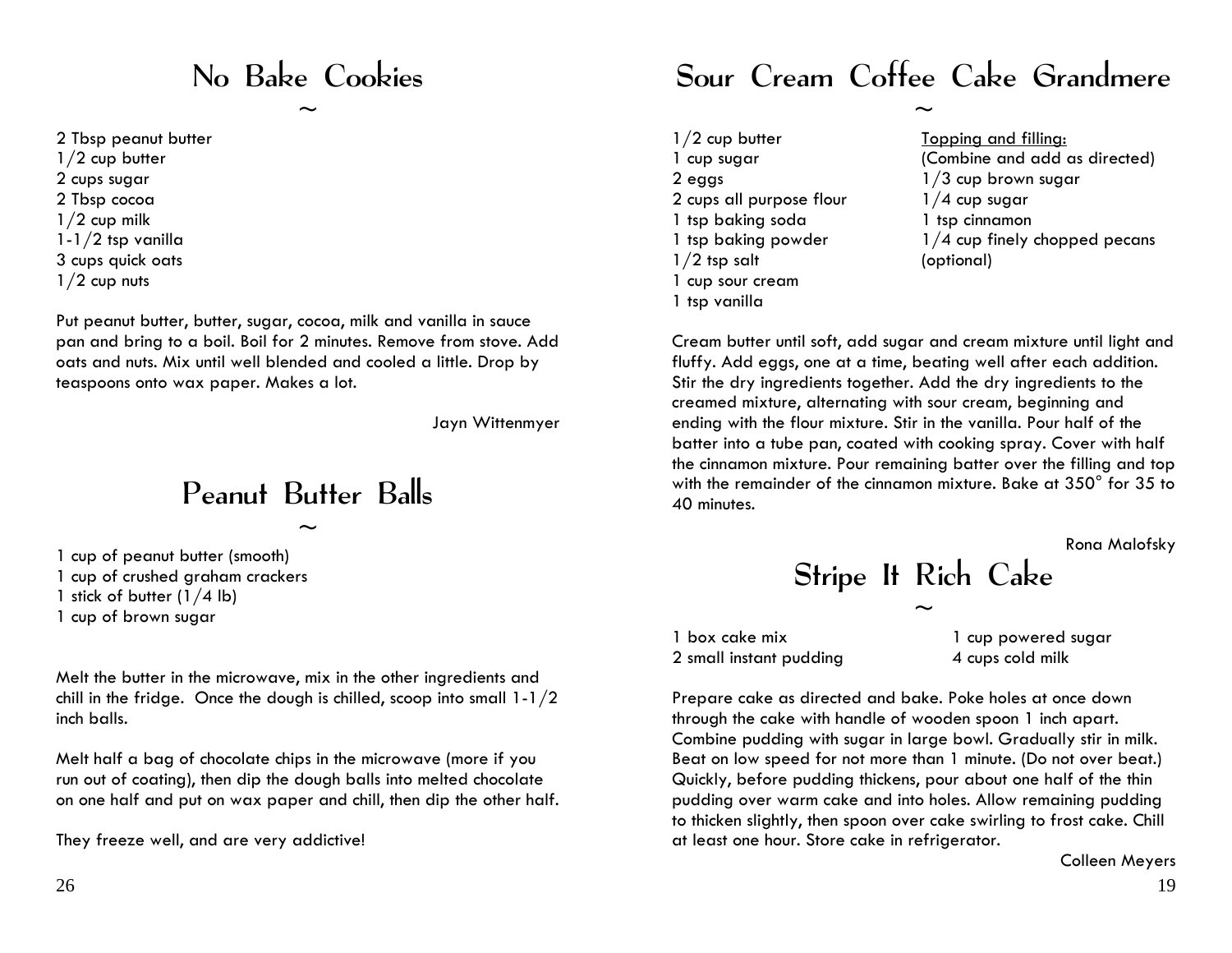### No Bake Cookies

 $\sim$ 

2 Tbsp peanut butter

 $1/2$  cup butter 2 cups sugar 2 Tbsp cocoa  $1/2$  cup milk 1-1/2 tsp vanilla 3 cups quick oats  $1/2$  cup nuts

Put peanut butter, butter, sugar, cocoa, milk and vanilla in sauce pan and bring to a boil. Boil for 2 minutes. Remove from stove. Add oats and nuts. Mix until well blended and cooled a little. Drop by teaspoons onto wax paper. Makes a lot.

Jayn Wittenmyer

### Peanut Butter Balls

 $\sim$ 

1 cup of peanut butter (smooth) 1 cup of crushed graham crackers 1 stick of butter (1/4 lb) 1 cup of brown sugar

Melt the butter in the microwave, mix in the other ingredients and chill in the fridge. Once the dough is chilled, scoop into small 1-1/2 inch balls.

Melt half a bag of chocolate chips in the microwave (more if you run out of coating), then dip the dough balls into melted chocolate on one half and put on wax paper and chill, then dip the other half.

They freeze well, and are very addictive!

### Sour Cream Coffee Cake Grandmere

 $\sim$ 

1/2 cup butter 1 cup sugar 2 eggs 2 cups all purpose flour 1 tsp baking soda 1 tsp baking powder  $1/2$  tsp salt 1 cup sour cream 1 tsp vanilla

Topping and filling: (Combine and add as directed) 1/3 cup brown sugar 1/4 cup sugar 1 tsp cinnamon 1/4 cup finely chopped pecans (optional)

Cream butter until soft, add sugar and cream mixture until light and fluffy. Add eggs, one at a time, beating well after each addition. Stir the dry ingredients together. Add the dry ingredients to the creamed mixture, alternating with sour cream, beginning and ending with the flour mixture. Stir in the vanilla. Pour half of the batter into a tube pan, coated with cooking spray. Cover with half the cinnamon mixture. Pour remaining batter over the filling and top with the remainder of the cinnamon mixture. Bake at 350° for 35 to 40 minutes.

Rona Malofsky

Stripe It Rich Cake

 $\sim$ 

1 box cake mix 2 small instant pudding

1 cup powered sugar 4 cups cold milk

Prepare cake as directed and bake. Poke holes at once down through the cake with handle of wooden spoon 1 inch apart. Combine pudding with sugar in large bowl. Gradually stir in milk. Beat on low speed for not more than 1 minute. (Do not over beat.) Quickly, before pudding thickens, pour about one half of the thin pudding over warm cake and into holes. Allow remaining pudding to thicken slightly, then spoon over cake swirling to frost cake. Chill at least one hour. Store cake in refrigerator.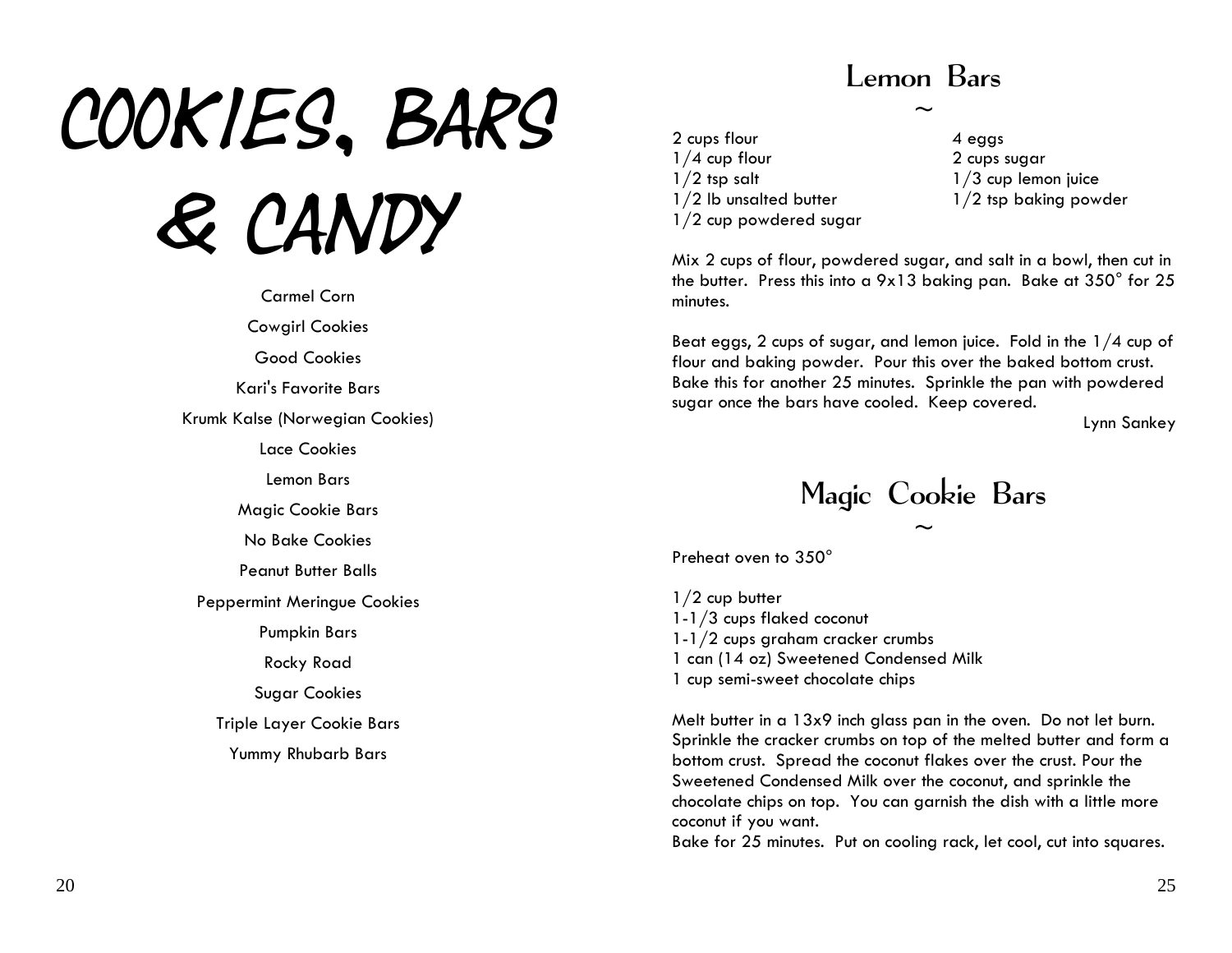# COOKIES, BARS & Candy

Carmel Corn Cowgirl Cookies Good Cookies Kari's Favorite Bars Krumk Kalse (Norwegian Cookies) Lace Cookies Lemon Bars Magic Cookie Bars No Bake Cookies Peanut Butter Balls Peppermint Meringue Cookies Pumpkin Bars Rocky Road Sugar Cookies Triple Layer Cookie Bars Yummy Rhubarb Bars

### Lemon Bars

 $\sim$ 

2 cups flour  $1/4$  cup flour  $1/2$  tsp salt 1/2 lb unsalted butter 1/2 cup powdered sugar 4 eggs 2 cups sugar 1/3 cup lemon juice 1/2 tsp baking powder

Mix 2 cups of flour, powdered sugar, and salt in a bowl, then cut in the butter. Press this into a 9x13 baking pan. Bake at 350 $^{\circ}$  for 25  $^{\circ}$ minutes.

Beat eggs, 2 cups of sugar, and lemon juice. Fold in the 1/4 cup of flour and baking powder. Pour this over the baked bottom crust. Bake this for another 25 minutes. Sprinkle the pan with powdered sugar once the bars have cooled. Keep covered.

Lynn Sankey



Preheat oven to 350°

1/2 cup butter 1-1/3 cups flaked coconut 1-1/2 cups graham cracker crumbs 1 can (14 oz) Sweetened Condensed Milk 1 cup semi-sweet chocolate chips

Melt butter in a 13x9 inch glass pan in the oven. Do not let burn. Sprinkle the cracker crumbs on top of the melted butter and form a bottom crust. Spread the coconut flakes over the crust. Pour the Sweetened Condensed Milk over the coconut, and sprinkle the chocolate chi ps on top. You can garnish the dish with a little more coconut if you want.

Bake for 25 minutes. Put on cooling rack, let cool, cut into squares.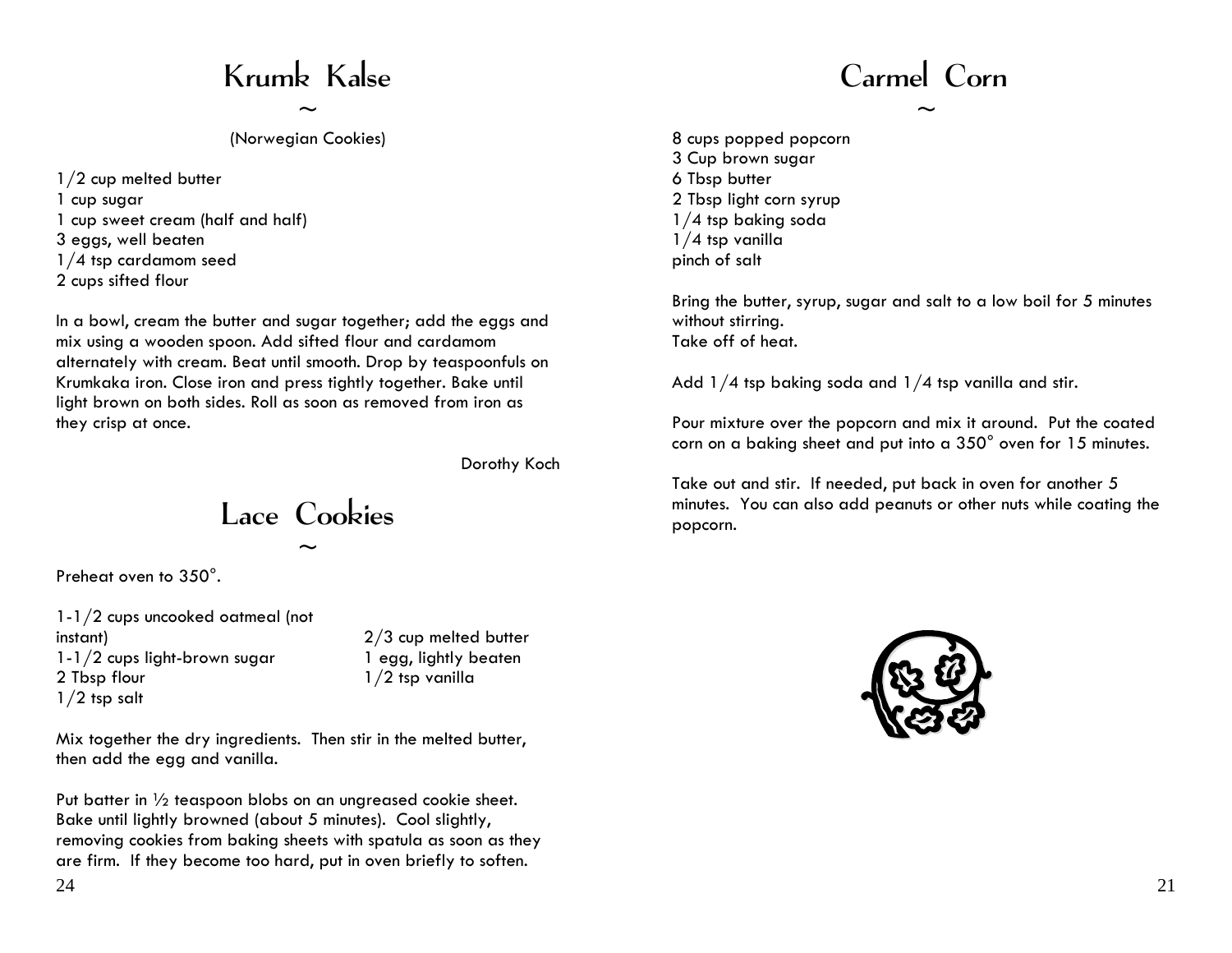# Krumk Kalse

 $\sim$ 

(Norwegian Cookies)

1/2 cup melted butter 1 cup sugar 1 cup sweet cream (half and half) 3 eggs, well beaten 1/4 tsp cardamom seed

2 cups sifted flour

In a bowl, cream the butter and sugar together; add the eggs and mix using a wooden spoon. Add sifted flour and cardamom alternately with cream. Beat until smooth. Drop by teaspoonfuls on Krumkaka iron. Close iron and press tightly together. Bake until light brown on both sides. Roll as soon as removed from iron as they crisp at once.

Dorothy Koch

Lace Cookies

 $\sim$ 

Preheat oven to 350°.

1-1/2 cups uncooked oatmeal (not instant) 1-1/2 cups light-brown sugar 2 Tbsp flour 1/2 tsp salt

2/3 cup melted butter 1 egg, lightly beaten 1/2 tsp vanilla

Mix together the dry ingredients. Then stir in the melted butter, then add the egg and vanilla.

Put batter in ½ teaspoon blobs on an ungreased cookie sheet. Bake until lightly browned (about 5 minutes). Cool slightly, removing cookies from baking sheets with spatula as soon as they are firm. If they become too hard, put in oven briefly to soften.

# Carmel Corn

 $\sim$ 

8 cups popped popcorn 3 Cup brown sugar 6 Tbsp butter 2 Tbsp light corn syrup 1/4 tsp baking soda 1/4 tsp vanilla pinch of salt

Bring the butter, syrup, sugar and salt to a low boil for 5 minutes without stirring. Take off of heat.

Add  $1/4$  tsp baking soda and  $1/4$  tsp vanilla and stir.

Pour mixture over the popcorn and mix it around. Put the coated corn on a baking sheet and put into a 350° oven for 15 minutes.

Take out and stir. If needed, put back in oven for another 5 minutes. You can also add peanuts or other nuts while coating the popcorn.